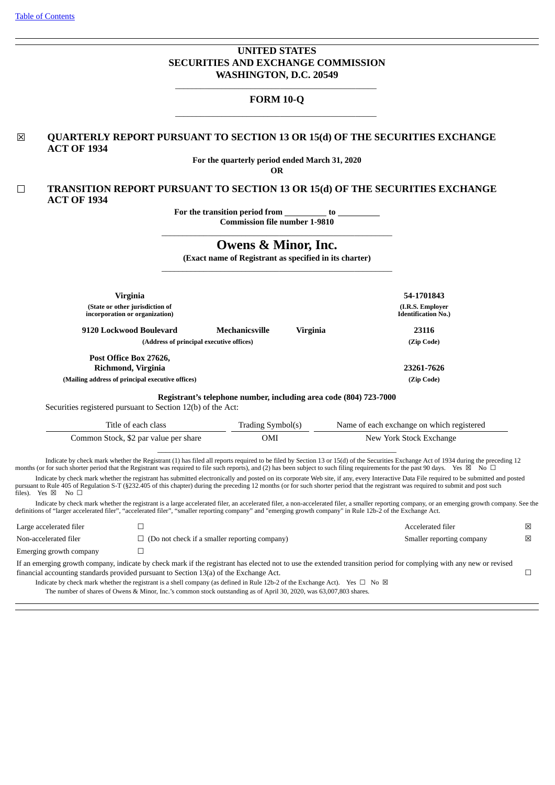files).

## **UNITED STATES SECURITIES AND EXCHANGE COMMISSION WASHINGTON, D.C. 20549**

## \_\_\_\_\_\_\_\_\_\_\_\_\_\_\_\_\_\_\_\_\_\_\_\_\_\_\_\_\_\_\_\_\_\_\_\_\_\_\_\_\_\_\_\_\_\_\_\_ **FORM 10-Q** \_\_\_\_\_\_\_\_\_\_\_\_\_\_\_\_\_\_\_\_\_\_\_\_\_\_\_\_\_\_\_\_\_\_\_\_\_\_\_\_\_\_\_\_\_\_\_\_

## ☒ **QUARTERLY REPORT PURSUANT TO SECTION 13 OR 15(d) OF THE SECURITIES EXCHANGE ACT OF 1934**

**For the quarterly period ended March 31, 2020**

**OR**

## ☐ **TRANSITION REPORT PURSUANT TO SECTION 13 OR 15(d) OF THE SECURITIES EXCHANGE ACT OF 1934**

**For the transition period from to**

**Commission file number 1-9810** \_\_\_\_\_\_\_\_\_\_\_\_\_\_\_\_\_\_\_\_\_\_\_\_\_\_\_\_\_\_\_\_\_\_\_\_\_\_\_\_\_\_\_\_\_\_\_\_\_\_\_\_\_\_\_

## **Owens & Minor, Inc.**

**(Exact name of Registrant as specified in its charter)** \_\_\_\_\_\_\_\_\_\_\_\_\_\_\_\_\_\_\_\_\_\_\_\_\_\_\_\_\_\_\_\_\_\_\_\_\_\_\_\_\_\_\_\_\_\_\_\_\_\_\_\_\_\_\_

|                                                                                                                                                                                                                                         | <b>Virginia</b><br>(State or other jurisdiction of<br>incorporation or organization)                                                         |                                                                   |                 | 54-1701843<br>(I.R.S. Employer<br><b>Identification No.)</b>                                                                                                                                                                                                                                                                                                                                                                                                                                                                                                                                                                                                                                                                                                               |   |
|-----------------------------------------------------------------------------------------------------------------------------------------------------------------------------------------------------------------------------------------|----------------------------------------------------------------------------------------------------------------------------------------------|-------------------------------------------------------------------|-----------------|----------------------------------------------------------------------------------------------------------------------------------------------------------------------------------------------------------------------------------------------------------------------------------------------------------------------------------------------------------------------------------------------------------------------------------------------------------------------------------------------------------------------------------------------------------------------------------------------------------------------------------------------------------------------------------------------------------------------------------------------------------------------------|---|
|                                                                                                                                                                                                                                         | 9120 Lockwood Boulevard                                                                                                                      | Mechanicsville                                                    | <b>Virginia</b> | 23116                                                                                                                                                                                                                                                                                                                                                                                                                                                                                                                                                                                                                                                                                                                                                                      |   |
|                                                                                                                                                                                                                                         | (Address of principal executive offices)<br>Post Office Box 27626,<br>Richmond, Virginia<br>(Mailing address of principal executive offices) | (Zip Code)<br>23261-7626<br>(Zip Code)                            |                 |                                                                                                                                                                                                                                                                                                                                                                                                                                                                                                                                                                                                                                                                                                                                                                            |   |
|                                                                                                                                                                                                                                         | Securities registered pursuant to Section 12(b) of the Act:                                                                                  | Registrant's telephone number, including area code (804) 723-7000 |                 |                                                                                                                                                                                                                                                                                                                                                                                                                                                                                                                                                                                                                                                                                                                                                                            |   |
|                                                                                                                                                                                                                                         | Title of each class                                                                                                                          | Trading Symbol(s)                                                 |                 | Name of each exchange on which registered                                                                                                                                                                                                                                                                                                                                                                                                                                                                                                                                                                                                                                                                                                                                  |   |
|                                                                                                                                                                                                                                         | Common Stock, \$2 par value per share                                                                                                        | OMI                                                               |                 | New York Stock Exchange                                                                                                                                                                                                                                                                                                                                                                                                                                                                                                                                                                                                                                                                                                                                                    |   |
| files). Yes ⊠ No □                                                                                                                                                                                                                      |                                                                                                                                              |                                                                   |                 | Indicate by check mark whether the Registrant (1) has filed all reports required to be filed by Section 13 or 15(d) of the Securities Exchange Act of 1934 during the preceding 12<br>months (or for such shorter period that the Registrant was required to file such reports), and (2) has been subject to such filing requirements for the past 90 days. Yes $\boxtimes$ No $\Box$<br>Indicate by check mark whether the registrant has submitted electronically and posted on its corporate Web site, if any, every Interactive Data File required to be submitted and posted<br>pursuant to Rule 405 of Regulation S-T (§232.405 of this chapter) during the preceding 12 months (or for such shorter period that the registrant was required to submit and post such |   |
|                                                                                                                                                                                                                                         |                                                                                                                                              |                                                                   |                 | Indicate by check mark whether the registrant is a large accelerated filer, an accelerated filer, a non-accelerated filer, a smaller reporting company, or an emerging growth company. See the<br>definitions of "larger accelerated filer", "accelerated filer", "smaller reporting company" and "emerging growth company" in Rule 12b-2 of the Exchange Act.                                                                                                                                                                                                                                                                                                                                                                                                             |   |
| Large accelerated filer                                                                                                                                                                                                                 | □                                                                                                                                            |                                                                   |                 | Accelerated filer                                                                                                                                                                                                                                                                                                                                                                                                                                                                                                                                                                                                                                                                                                                                                          | ⊠ |
| Non-accelerated filer                                                                                                                                                                                                                   | $\Box$ (Do not check if a smaller reporting company)                                                                                         |                                                                   |                 | Smaller reporting company                                                                                                                                                                                                                                                                                                                                                                                                                                                                                                                                                                                                                                                                                                                                                  | 区 |
| Emerging growth company                                                                                                                                                                                                                 | $\Box$                                                                                                                                       |                                                                   |                 |                                                                                                                                                                                                                                                                                                                                                                                                                                                                                                                                                                                                                                                                                                                                                                            |   |
| financial accounting standards provided pursuant to Section 13(a) of the Exchange Act.<br>Indicate by check mark whether the registrant is a shell company (as defined in Rule 12b-2 of the Exchange Act). Yes $\square$ No $\boxtimes$ |                                                                                                                                              |                                                                   |                 | If an emerging growth company, indicate by check mark if the registrant has elected not to use the extended transition period for complying with any new or revised                                                                                                                                                                                                                                                                                                                                                                                                                                                                                                                                                                                                        | □ |

The number of shares of Owens & Minor, Inc.'s common stock outstanding as of April 30, 2020, was 63,007,803 shares.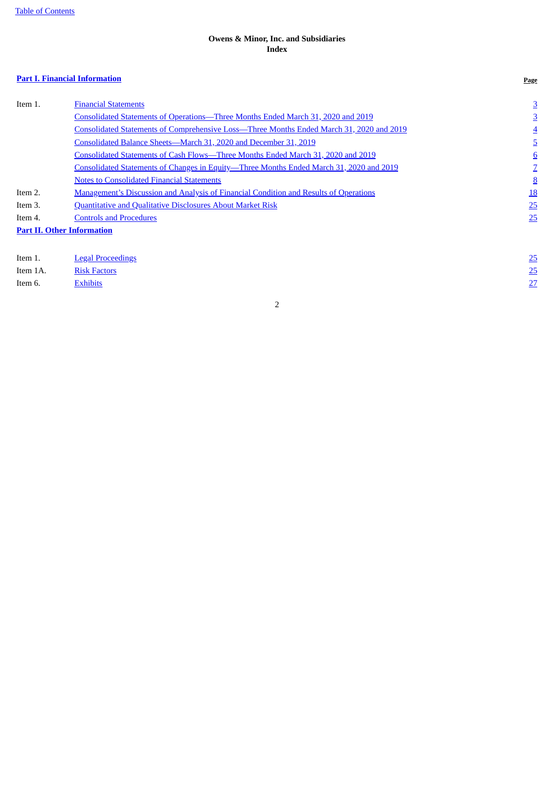## **Owens & Minor, Inc. and Subsidiaries Index**

# <span id="page-1-0"></span>**Part I. Financial [Information](#page-2-0) Page**

| Item 1.  | <b>Financial Statements</b>                                                                  | 3               |
|----------|----------------------------------------------------------------------------------------------|-----------------|
|          | Consolidated Statements of Operations—Three Months Ended March 31, 2020 and 2019             | $\overline{3}$  |
|          | Consolidated Statements of Comprehensive Loss—Three Months Ended March 31, 2020 and 2019     | $\overline{4}$  |
|          | Consolidated Balance Sheets-March 31, 2020 and December 31, 2019                             | 5               |
|          | Consolidated Statements of Cash Flows—Three Months Ended March 31, 2020 and 2019             | $6\overline{6}$ |
|          | Consolidated Statements of Changes in Equity-Three Months Ended March 31, 2020 and 2019      |                 |
|          | <b>Notes to Consolidated Financial Statements</b>                                            | $\underline{8}$ |
| Item 2.  | <b>Management's Discussion and Analysis of Financial Condition and Results of Operations</b> | <u>18</u>       |
| Item 3.  | <b>Quantitative and Qualitative Disclosures About Market Risk</b>                            | 25              |
| Item 4.  | <b>Controls and Procedures</b>                                                               | 25              |
|          | <b>Part II. Other Information</b>                                                            |                 |
| Item 1.  | <b>Legal Proceedings</b>                                                                     | 25              |
| Item 1A. | <b>Risk Factors</b>                                                                          | 25              |
| Item 6.  | <b>Exhibits</b>                                                                              | 27              |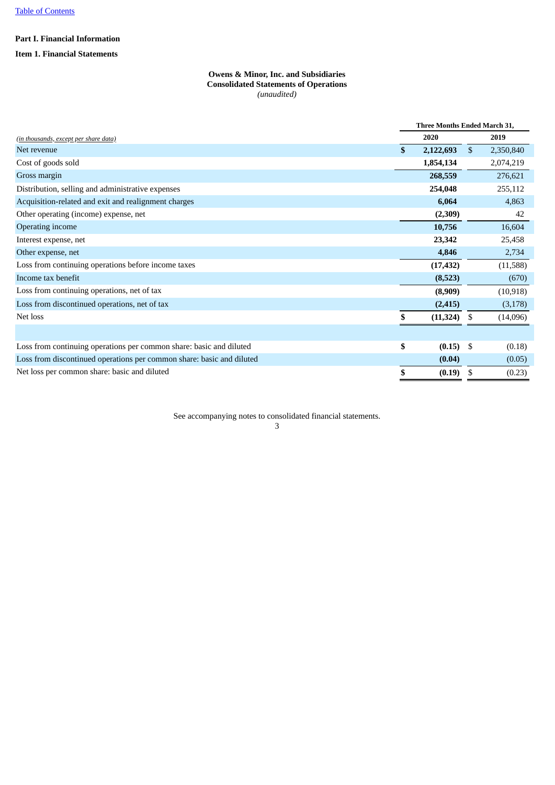## <span id="page-2-0"></span>**Part I. Financial Information**

## <span id="page-2-2"></span><span id="page-2-1"></span>**Item 1. Financial Statements**

## **Owens & Minor, Inc. and Subsidiaries Consolidated Statements of Operations** *(unaudited)*

|                                                                       | Three Months Ended March 31, |             |              |           |  |
|-----------------------------------------------------------------------|------------------------------|-------------|--------------|-----------|--|
| (in thousands, except per share data)                                 |                              | 2020        |              | 2019      |  |
| Net revenue                                                           | \$                           | 2,122,693   | $\mathbb{S}$ | 2,350,840 |  |
| Cost of goods sold                                                    |                              | 1,854,134   |              | 2,074,219 |  |
| Gross margin                                                          |                              | 268,559     |              | 276,621   |  |
| Distribution, selling and administrative expenses                     |                              | 254,048     |              | 255,112   |  |
| Acquisition-related and exit and realignment charges                  |                              | 6,064       |              | 4,863     |  |
| Other operating (income) expense, net                                 |                              | (2,309)     |              | 42        |  |
| Operating income                                                      |                              | 10,756      |              | 16,604    |  |
| Interest expense, net                                                 |                              | 23,342      |              | 25,458    |  |
| Other expense, net                                                    |                              | 4,846       |              | 2,734     |  |
| Loss from continuing operations before income taxes                   |                              | (17, 432)   |              | (11,588)  |  |
| Income tax benefit                                                    |                              | (8,523)     |              | (670)     |  |
| Loss from continuing operations, net of tax                           |                              | (8,909)     |              | (10, 918) |  |
| Loss from discontinued operations, net of tax                         |                              | (2, 415)    |              | (3,178)   |  |
| Net loss                                                              | \$                           | (11, 324)   | \$           | (14,096)  |  |
|                                                                       |                              |             |              |           |  |
| Loss from continuing operations per common share: basic and diluted   | \$                           | $(0.15)$ \$ |              | (0.18)    |  |
| Loss from discontinued operations per common share: basic and diluted |                              | (0.04)      |              | (0.05)    |  |
| Net loss per common share: basic and diluted                          | \$                           | (0.19)      | \$           | (0.23)    |  |

See accompanying notes to consolidated financial statements.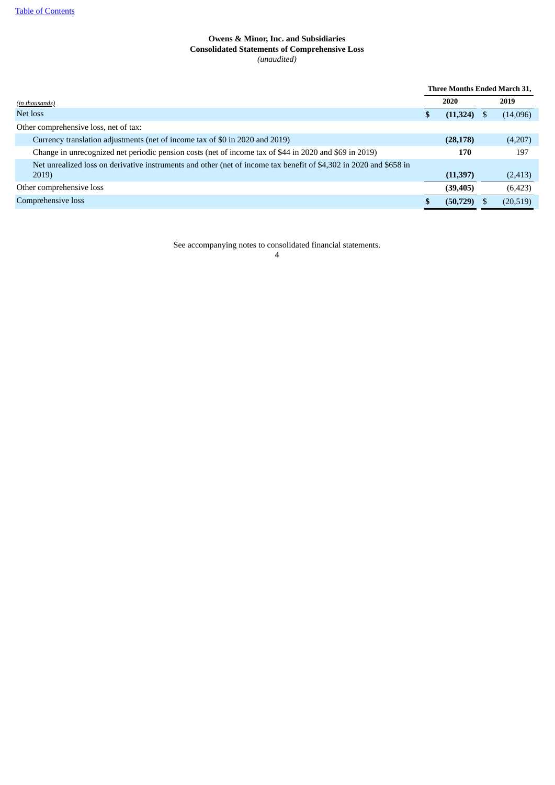## **Owens & Minor, Inc. and Subsidiaries Consolidated Statements of Comprehensive Loss** *(unaudited)*

<span id="page-3-0"></span>

|                                                                                                                    |           | Three Months Ended March 31, |
|--------------------------------------------------------------------------------------------------------------------|-----------|------------------------------|
| (in thousands)                                                                                                     | 2020      | 2019                         |
| Net loss                                                                                                           | (11,324)  | (14,096)                     |
| Other comprehensive loss, net of tax:                                                                              |           |                              |
| Currency translation adjustments (net of income tax of \$0 in 2020 and 2019)                                       | (28, 178) | (4,207)                      |
| Change in unrecognized net periodic pension costs (net of income tax of \$44 in 2020 and \$69 in 2019)             | 170       | 197                          |
| Net unrealized loss on derivative instruments and other (net of income tax benefit of \$4,302 in 2020 and \$658 in |           |                              |
| 2019)                                                                                                              | (11, 397) | (2, 413)                     |
| Other comprehensive loss                                                                                           | (39, 405) | (6, 423)                     |
| Comprehensive loss                                                                                                 | (50, 729) | (20,519)                     |

See accompanying notes to consolidated financial statements.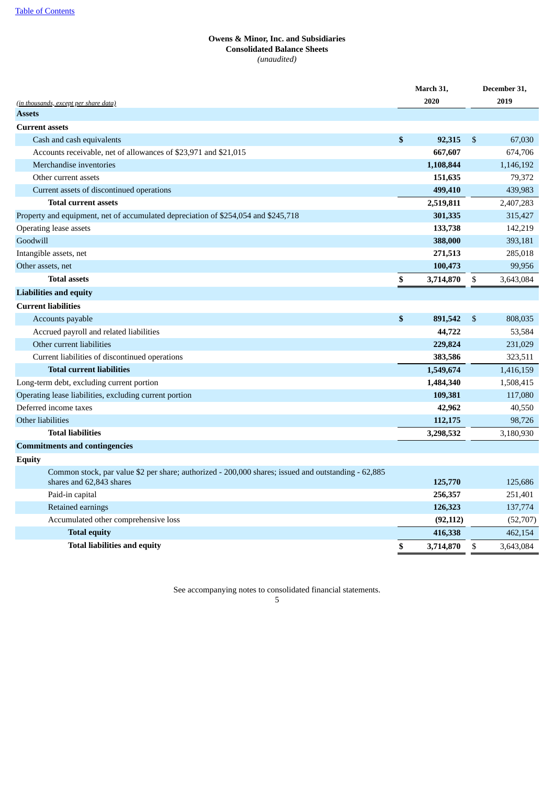## **Owens & Minor, Inc. and Subsidiaries Consolidated Balance Sheets** *(unaudited)*

<span id="page-4-0"></span>

|                                                                                                     |      | December 31, |                |           |
|-----------------------------------------------------------------------------------------------------|------|--------------|----------------|-----------|
| (in thousands, except per share data)                                                               | 2020 |              |                | 2019      |
| <b>Assets</b>                                                                                       |      |              |                |           |
| <b>Current assets</b>                                                                               |      |              |                |           |
| Cash and cash equivalents                                                                           | \$   | 92,315       | $\mathfrak{S}$ | 67,030    |
| Accounts receivable, net of allowances of \$23,971 and \$21,015                                     |      | 667,607      |                | 674,706   |
| Merchandise inventories                                                                             |      | 1,108,844    |                | 1,146,192 |
| Other current assets                                                                                |      | 151,635      |                | 79,372    |
| Current assets of discontinued operations                                                           |      | 499,410      |                | 439,983   |
| <b>Total current assets</b>                                                                         |      | 2,519,811    |                | 2,407,283 |
| Property and equipment, net of accumulated depreciation of \$254,054 and \$245,718                  |      | 301,335      |                | 315,427   |
| Operating lease assets                                                                              |      | 133,738      |                | 142,219   |
| Goodwill                                                                                            |      | 388,000      |                | 393,181   |
| Intangible assets, net                                                                              |      | 271,513      |                | 285,018   |
| Other assets, net                                                                                   |      | 100,473      |                | 99,956    |
| <b>Total assets</b>                                                                                 | \$   | 3,714,870    | \$             | 3,643,084 |
| <b>Liabilities and equity</b>                                                                       |      |              |                |           |
| <b>Current liabilities</b>                                                                          |      |              |                |           |
| Accounts payable                                                                                    | \$   | 891,542      | $\mathbb{S}$   | 808,035   |
| Accrued payroll and related liabilities                                                             |      | 44,722       |                | 53,584    |
| Other current liabilities                                                                           |      | 229,824      |                | 231,029   |
| Current liabilities of discontinued operations                                                      |      | 383,586      |                | 323,511   |
| <b>Total current liabilities</b>                                                                    |      | 1,549,674    |                | 1,416,159 |
| Long-term debt, excluding current portion                                                           |      | 1,484,340    |                | 1,508,415 |
| Operating lease liabilities, excluding current portion                                              |      | 109,381      |                | 117,080   |
| Deferred income taxes                                                                               |      | 42,962       |                | 40,550    |
| Other liabilities                                                                                   |      | 112,175      |                | 98,726    |
| <b>Total liabilities</b>                                                                            |      | 3,298,532    |                | 3,180,930 |
| <b>Commitments and contingencies</b>                                                                |      |              |                |           |
| <b>Equity</b>                                                                                       |      |              |                |           |
| Common stock, par value \$2 per share; authorized - 200,000 shares; issued and outstanding - 62,885 |      |              |                |           |
| shares and 62,843 shares                                                                            |      | 125,770      |                | 125,686   |
| Paid-in capital                                                                                     |      | 256,357      |                | 251,401   |
| Retained earnings                                                                                   |      | 126,323      |                | 137,774   |
| Accumulated other comprehensive loss                                                                |      | (92, 112)    |                | (52,707)  |
| <b>Total equity</b>                                                                                 |      | 416,338      |                | 462,154   |
| <b>Total liabilities and equity</b>                                                                 | \$   | 3,714,870    | \$             | 3,643,084 |
|                                                                                                     |      |              |                |           |

See accompanying notes to consolidated financial statements.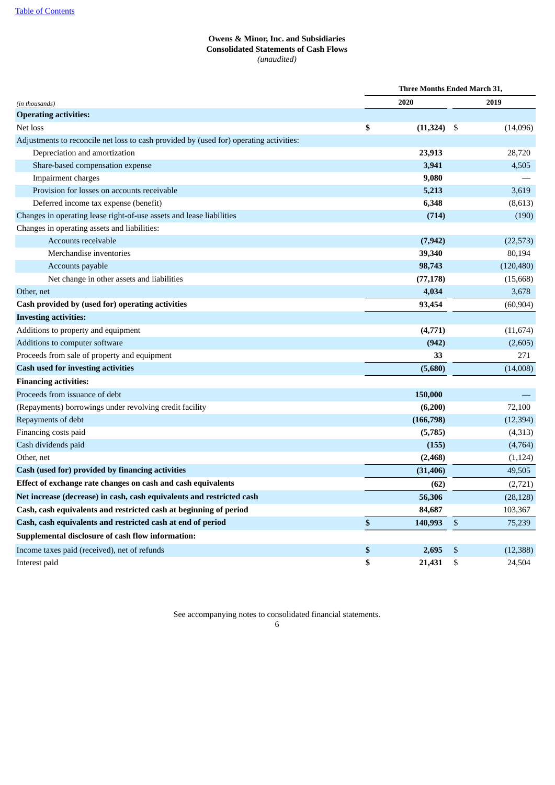## **Owens & Minor, Inc. and Subsidiaries Consolidated Statements of Cash Flows** *(unaudited)*

<span id="page-5-0"></span>

|                                                                                        | <b>Three Months Ended March 31,</b> |            |    |            |  |  |  |
|----------------------------------------------------------------------------------------|-------------------------------------|------------|----|------------|--|--|--|
| (in thousands)                                                                         |                                     | 2020       |    | 2019       |  |  |  |
| <b>Operating activities:</b>                                                           |                                     |            |    |            |  |  |  |
| Net loss                                                                               | \$                                  | (11, 324)  | \$ | (14,096)   |  |  |  |
| Adjustments to reconcile net loss to cash provided by (used for) operating activities: |                                     |            |    |            |  |  |  |
| Depreciation and amortization                                                          |                                     | 23,913     |    | 28,720     |  |  |  |
| Share-based compensation expense                                                       |                                     | 3,941      |    | 4,505      |  |  |  |
| Impairment charges                                                                     |                                     | 9,080      |    |            |  |  |  |
| Provision for losses on accounts receivable                                            |                                     | 5,213      |    | 3,619      |  |  |  |
| Deferred income tax expense (benefit)                                                  |                                     | 6,348      |    | (8,613)    |  |  |  |
| Changes in operating lease right-of-use assets and lease liabilities                   |                                     | (714)      |    | (190)      |  |  |  |
| Changes in operating assets and liabilities:                                           |                                     |            |    |            |  |  |  |
| Accounts receivable                                                                    |                                     | (7, 942)   |    | (22, 573)  |  |  |  |
| Merchandise inventories                                                                |                                     | 39,340     |    | 80,194     |  |  |  |
| Accounts payable                                                                       |                                     | 98,743     |    | (120, 480) |  |  |  |
| Net change in other assets and liabilities                                             |                                     | (77, 178)  |    | (15,668)   |  |  |  |
| Other, net                                                                             |                                     | 4,034      |    | 3,678      |  |  |  |
| Cash provided by (used for) operating activities                                       |                                     | 93,454     |    | (60, 904)  |  |  |  |
| <b>Investing activities:</b>                                                           |                                     |            |    |            |  |  |  |
| Additions to property and equipment                                                    |                                     | (4,771)    |    | (11, 674)  |  |  |  |
| Additions to computer software                                                         |                                     | (942)      |    | (2,605)    |  |  |  |
| Proceeds from sale of property and equipment                                           |                                     | 33         |    | 271        |  |  |  |
| <b>Cash used for investing activities</b>                                              |                                     | (5,680)    |    | (14,008)   |  |  |  |
| <b>Financing activities:</b>                                                           |                                     |            |    |            |  |  |  |
| Proceeds from issuance of debt                                                         |                                     | 150,000    |    |            |  |  |  |
| (Repayments) borrowings under revolving credit facility                                |                                     | (6,200)    |    | 72,100     |  |  |  |
| Repayments of debt                                                                     |                                     | (166, 798) |    | (12, 394)  |  |  |  |
| Financing costs paid                                                                   |                                     | (5,785)    |    | (4,313)    |  |  |  |
| Cash dividends paid                                                                    |                                     | (155)      |    | (4,764)    |  |  |  |
| Other, net                                                                             |                                     | (2, 468)   |    | (1, 124)   |  |  |  |
| Cash (used for) provided by financing activities                                       |                                     | (31, 406)  |    | 49,505     |  |  |  |
| Effect of exchange rate changes on cash and cash equivalents                           |                                     | (62)       |    | (2,721)    |  |  |  |
| Net increase (decrease) in cash, cash equivalents and restricted cash                  |                                     | 56,306     |    | (28, 128)  |  |  |  |
| Cash, cash equivalents and restricted cash at beginning of period                      |                                     | 84,687     |    | 103,367    |  |  |  |
| Cash, cash equivalents and restricted cash at end of period                            | \$                                  | 140,993    | \$ | 75,239     |  |  |  |
| Supplemental disclosure of cash flow information:                                      |                                     |            |    |            |  |  |  |
| Income taxes paid (received), net of refunds                                           | \$                                  | 2,695      | \$ | (12, 388)  |  |  |  |
| Interest paid                                                                          | \$                                  | 21,431     | \$ | 24,504     |  |  |  |

See accompanying notes to consolidated financial statements.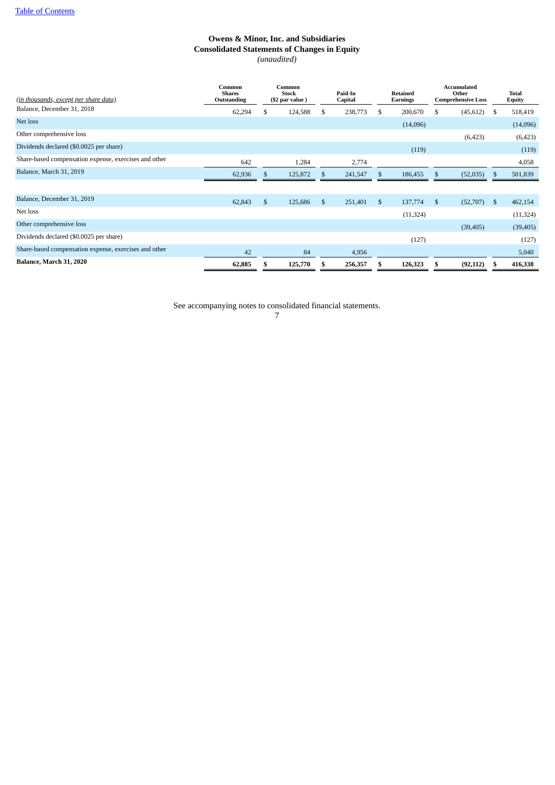## **Owens & Minor, Inc. and Subsidiaries Consolidated Statements of Changes in Equity** *(unaudited)*

<span id="page-6-0"></span>

| (in thousands, except per share data)                 | Common<br><b>Shares</b><br>Outstanding |              | Common<br><b>Stock</b><br>(\$2 par value) |     | Paid-In<br>Capital |    | Retained<br><b>Earnings</b> |    | Accumulated<br>Other<br><b>Comprehensive Loss</b> |    | <b>Total</b><br>Equity |
|-------------------------------------------------------|----------------------------------------|--------------|-------------------------------------------|-----|--------------------|----|-----------------------------|----|---------------------------------------------------|----|------------------------|
| Balance, December 31, 2018                            | 62,294                                 | \$.          | 124,588                                   | \$. | 238,773            | \$ | 200,670                     | \$ | (45, 612)                                         | \$ | 518,419                |
| Net loss                                              |                                        |              |                                           |     |                    |    | (14,096)                    |    |                                                   |    | (14,096)               |
| Other comprehensive loss                              |                                        |              |                                           |     |                    |    |                             |    | (6,423)                                           |    | (6, 423)               |
| Dividends declared (\$0.0025 per share)               |                                        |              |                                           |     |                    |    | (119)                       |    |                                                   |    | (119)                  |
| Share-based compensation expense, exercises and other | 642                                    |              | 1,284                                     |     | 2,774              |    |                             |    |                                                   |    | 4,058                  |
| Balance, March 31, 2019                               | 62,936                                 | \$           | 125,872                                   | .S  | 241,547            | \$ | 186,455                     | \$ | (52,035)                                          | \$ | 501,839                |
|                                                       |                                        |              |                                           |     |                    |    |                             |    |                                                   |    |                        |
| Balance, December 31, 2019                            | 62,843                                 | $\mathbb{S}$ | 125,686                                   | \$. | 251,401            | \$ | 137,774                     | \$ | (52,707)                                          | \$ | 462,154                |
| Net loss                                              |                                        |              |                                           |     |                    |    | (11, 324)                   |    |                                                   |    | (11, 324)              |
| Other comprehensive loss                              |                                        |              |                                           |     |                    |    |                             |    | (39, 405)                                         |    | (39, 405)              |
| Dividends declared (\$0.0025 per share)               |                                        |              |                                           |     |                    |    | (127)                       |    |                                                   |    | (127)                  |
| Share-based compensation expense, exercises and other | 42                                     |              | 84                                        |     | 4,956              |    |                             |    |                                                   |    | 5,040                  |
| Balance, March 31, 2020                               | 62,885                                 |              | 125,770                                   |     | 256,357            | S  | 126,323                     | S  | (92, 112)                                         | S  | 416,338                |

See accompanying notes to consolidated financial statements.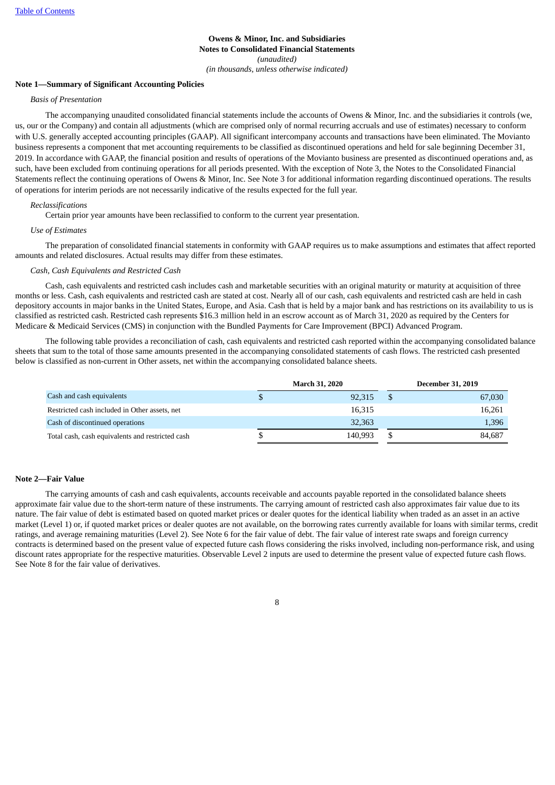### **Owens & Minor, Inc. and Subsidiaries Notes to Consolidated Financial Statements** *(unaudited) (in thousands, unless otherwise indicated)*

#### <span id="page-7-0"></span>**Note 1—Summary of Significant Accounting Policies**

#### *Basis of Presentation*

The accompanying unaudited consolidated financial statements include the accounts of Owens & Minor, Inc. and the subsidiaries it controls (we, us, our or the Company) and contain all adjustments (which are comprised only of normal recurring accruals and use of estimates) necessary to conform with U.S. generally accepted accounting principles (GAAP). All significant intercompany accounts and transactions have been eliminated. The Movianto business represents a component that met accounting requirements to be classified as discontinued operations and held for sale beginning December 31, 2019. In accordance with GAAP, the financial position and results of operations of the Movianto business are presented as discontinued operations and, as such, have been excluded from continuing operations for all periods presented. With the exception of Note 3, the Notes to the Consolidated Financial Statements reflect the continuing operations of Owens & Minor, Inc. See Note 3 for additional information regarding discontinued operations. The results of operations for interim periods are not necessarily indicative of the results expected for the full year.

#### *Reclassifications*

Certain prior year amounts have been reclassified to conform to the current year presentation.

#### *Use of Estimates*

The preparation of consolidated financial statements in conformity with GAAP requires us to make assumptions and estimates that affect reported amounts and related disclosures. Actual results may differ from these estimates.

#### *Cash, Cash Equivalents and Restricted Cash*

Cash, cash equivalents and restricted cash includes cash and marketable securities with an original maturity or maturity at acquisition of three months or less. Cash, cash equivalents and restricted cash are stated at cost. Nearly all of our cash, cash equivalents and restricted cash are held in cash depository accounts in major banks in the United States, Europe, and Asia. Cash that is held by a major bank and has restrictions on its availability to us is classified as restricted cash. Restricted cash represents \$16.3 million held in an escrow account as of March 31, 2020 as required by the Centers for Medicare & Medicaid Services (CMS) in conjunction with the Bundled Payments for Care Improvement (BPCI) Advanced Program.

The following table provides a reconciliation of cash, cash equivalents and restricted cash reported within the accompanying consolidated balance sheets that sum to the total of those same amounts presented in the accompanying consolidated statements of cash flows. The restricted cash presented below is classified as non-current in Other assets, net within the accompanying consolidated balance sheets.

|                                                  | <b>March 31, 2020</b> |         |  | <b>December 31, 2019</b> |
|--------------------------------------------------|-----------------------|---------|--|--------------------------|
| Cash and cash equivalents                        |                       | 92.315  |  | 67,030                   |
| Restricted cash included in Other assets, net    |                       | 16,315  |  | 16,261                   |
| Cash of discontinued operations                  |                       | 32,363  |  | 1,396                    |
| Total cash, cash equivalents and restricted cash |                       | 140.993 |  | 84.687                   |

#### **Note 2—Fair Value**

The carrying amounts of cash and cash equivalents, accounts receivable and accounts payable reported in the consolidated balance sheets approximate fair value due to the short-term nature of these instruments. The carrying amount of restricted cash also approximates fair value due to its nature. The fair value of debt is estimated based on quoted market prices or dealer quotes for the identical liability when traded as an asset in an active market (Level 1) or, if quoted market prices or dealer quotes are not available, on the borrowing rates currently available for loans with similar terms, credit ratings, and average remaining maturities (Level 2). See Note 6 for the fair value of debt. The fair value of interest rate swaps and foreign currency contracts is determined based on the present value of expected future cash flows considering the risks involved, including non-performance risk, and using discount rates appropriate for the respective maturities. Observable Level 2 inputs are used to determine the present value of expected future cash flows. See Note 8 for the fair value of derivatives.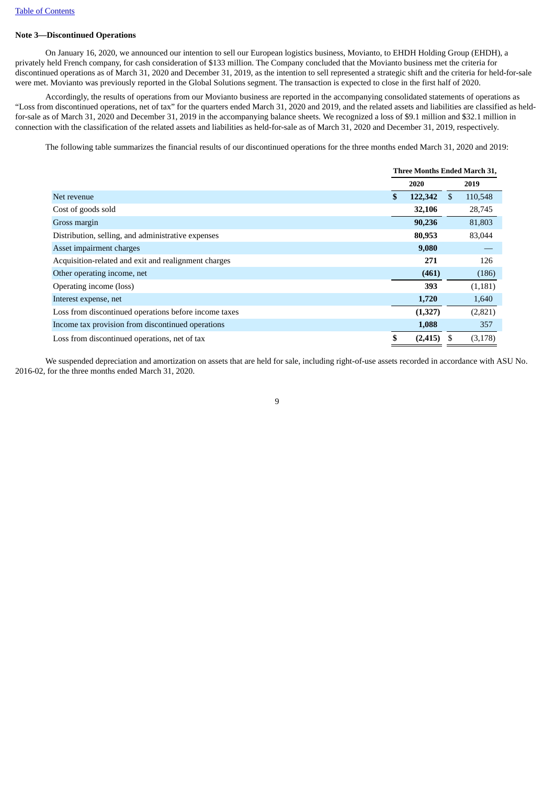## **Note 3—Discontinued Operations**

On January 16, 2020, we announced our intention to sell our European logistics business, Movianto, to EHDH Holding Group (EHDH), a privately held French company, for cash consideration of \$133 million. The Company concluded that the Movianto business met the criteria for discontinued operations as of March 31, 2020 and December 31, 2019, as the intention to sell represented a strategic shift and the criteria for held-for-sale were met. Movianto was previously reported in the Global Solutions segment. The transaction is expected to close in the first half of 2020.

Accordingly, the results of operations from our Movianto business are reported in the accompanying consolidated statements of operations as "Loss from discontinued operations, net of tax" for the quarters ended March 31, 2020 and 2019, and the related assets and liabilities are classified as heldfor-sale as of March 31, 2020 and December 31, 2019 in the accompanying balance sheets. We recognized a loss of \$9.1 million and \$32.1 million in connection with the classification of the related assets and liabilities as held-for-sale as of March 31, 2020 and December 31, 2019, respectively.

The following table summarizes the financial results of our discontinued operations for the three months ended March 31, 2020 and 2019:

|                                                       | Three Months Ended March 31, |          |              |          |
|-------------------------------------------------------|------------------------------|----------|--------------|----------|
|                                                       | 2020                         |          |              | 2019     |
| Net revenue                                           | \$                           | 122,342  | $\mathbb{S}$ | 110,548  |
| Cost of goods sold                                    |                              | 32,106   |              | 28,745   |
| Gross margin                                          |                              | 90,236   |              | 81,803   |
| Distribution, selling, and administrative expenses    |                              | 80,953   |              | 83,044   |
| Asset impairment charges                              |                              | 9,080    |              |          |
| Acquisition-related and exit and realignment charges  |                              | 271      |              | 126      |
| Other operating income, net                           |                              | (461)    |              | (186)    |
| Operating income (loss)                               |                              | 393      |              | (1,181)  |
| Interest expense, net                                 |                              | 1,720    |              | 1,640    |
| Loss from discontinued operations before income taxes |                              | (1,327)  |              | (2,821)  |
| Income tax provision from discontinued operations     |                              | 1,088    |              | 357      |
| Loss from discontinued operations, net of tax         | \$                           | (2, 415) |              | (3, 178) |

We suspended depreciation and amortization on assets that are held for sale, including right-of-use assets recorded in accordance with ASU No. 2016-02, for the three months ended March 31, 2020.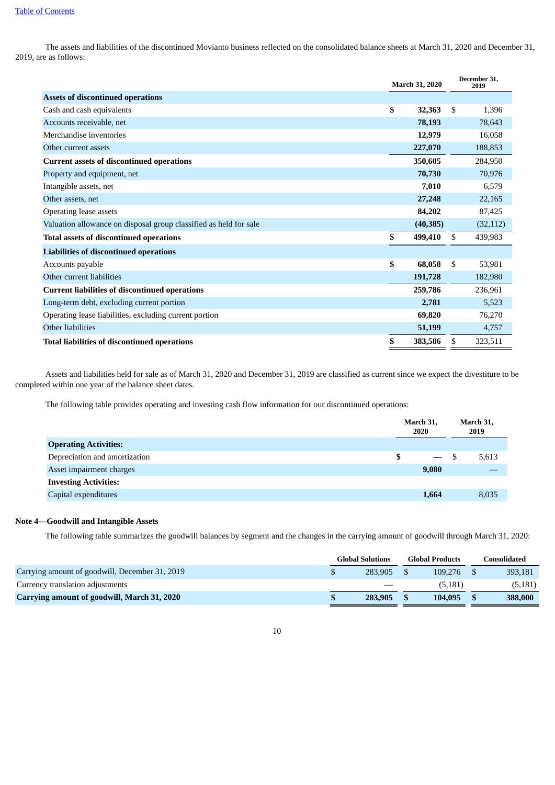The assets and liabilities of the discontinued Movianto business reflected on the consolidated balance sheets at March 31, 2020 and December 31, 2019, are as follows:

|                                                                   | <b>March 31, 2020</b> |    | December 31,<br>2019 |
|-------------------------------------------------------------------|-----------------------|----|----------------------|
| <b>Assets of discontinued operations</b>                          |                       |    |                      |
| Cash and cash equivalents                                         | \$<br>32,363          | \$ | 1,396                |
| Accounts receivable, net                                          | 78,193                |    | 78,643               |
| Merchandise inventories                                           | 12,979                |    | 16,058               |
| Other current assets                                              | 227,070               |    | 188,853              |
| <b>Current assets of discontinued operations</b>                  | 350,605               |    | 284,950              |
| Property and equipment, net                                       | 70,730                |    | 70,976               |
| Intangible assets, net                                            | 7,010                 |    | 6,579                |
| Other assets, net                                                 | 27,248                |    | 22,165               |
| Operating lease assets                                            | 84,202                |    | 87,425               |
| Valuation allowance on disposal group classified as held for sale | (40, 385)             |    | (32, 112)            |
| <b>Total assets of discontinued operations</b>                    | \$<br>499,410         | S. | 439,983              |
| <b>Liabilities of discontinued operations</b>                     |                       |    |                      |
| Accounts payable                                                  | \$<br>68,058          | \$ | 53,981               |
| Other current liabilities                                         | 191,728               |    | 182,980              |
| <b>Current liabilities of discontinued operations</b>             | 259,786               |    | 236,961              |
| Long-term debt, excluding current portion                         | 2,781                 |    | 5,523                |
| Operating lease liabilities, excluding current portion            | 69,820                |    | 76,270               |
| Other liabilities                                                 | 51,199                |    | 4,757                |
| <b>Total liabilities of discontinued operations</b>               | \$<br>383,586         | \$ | 323,511              |

Assets and liabilities held for sale as of March 31, 2020 and December 31, 2019 are classified as current since we expect the divestiture to be completed within one year of the balance sheet dates.

The following table provides operating and investing cash flow information for our discontinued operations:

|                               | March 31,<br>2020 |  | March 31,<br>2019 |
|-------------------------------|-------------------|--|-------------------|
| <b>Operating Activities:</b>  |                   |  |                   |
| Depreciation and amortization | $-$ \$            |  | 5,613             |
| Asset impairment charges      | 9,080             |  |                   |
| <b>Investing Activities:</b>  |                   |  |                   |
| Capital expenditures          | 1,664             |  | 8,035             |

## **Note 4—Goodwill and Intangible Assets**

The following table summarizes the goodwill balances by segment and the changes in the carrying amount of goodwill through March 31, 2020:

|                                                | <b>Global Solutions</b> | <b>Global Products</b> |          | Consolidated |  |
|------------------------------------------------|-------------------------|------------------------|----------|--------------|--|
| Carrying amount of goodwill, December 31, 2019 | 283.905                 |                        | 109.276  | 393.181      |  |
| Currency translation adjustments               |                         |                        | (5, 181) | (5, 181)     |  |
| Carrying amount of goodwill, March 31, 2020    | 283,905                 |                        | 104.095  | 388,000      |  |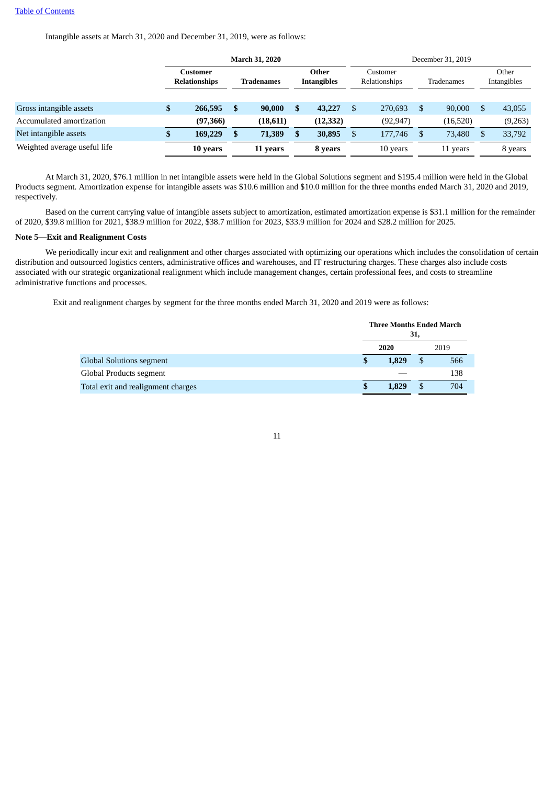Intangible assets at March 31, 2020 and December 31, 2019, were as follows:

|                              |   | <b>March 31, 2020</b>            |              |            |                             |           |                           | December 31, 2019 |            |           |                      |         |  |  |
|------------------------------|---|----------------------------------|--------------|------------|-----------------------------|-----------|---------------------------|-------------------|------------|-----------|----------------------|---------|--|--|
|                              |   | Customer<br><b>Relationships</b> |              | Tradenames | Other<br><b>Intangibles</b> |           | Customer<br>Relationships |                   | Tradenames |           | Other<br>Intangibles |         |  |  |
|                              |   |                                  |              |            |                             |           |                           |                   |            |           |                      |         |  |  |
| Gross intangible assets      | S | 266,595                          | $\mathbf{s}$ | 90,000     |                             | 43,227    |                           | 270,693           |            | 90,000    | <sup>\$</sup>        | 43,055  |  |  |
| Accumulated amortization     |   | (97,366)                         |              | (18,611)   |                             | (12, 332) |                           | (92, 947)         |            | (16, 520) |                      | (9,263) |  |  |
| Net intangible assets        |   | 169,229                          | $\mathbf{s}$ | 71,389     |                             | 30,895    |                           | 177,746           |            | 73,480    |                      | 33,792  |  |  |
| Weighted average useful life |   | 10 years                         |              | 11 years   |                             | 8 years   |                           | 10 years          |            | 11 years  |                      | 8 years |  |  |
|                              |   |                                  |              |            |                             |           |                           |                   |            |           |                      |         |  |  |

At March 31, 2020, \$76.1 million in net intangible assets were held in the Global Solutions segment and \$195.4 million were held in the Global Products segment. Amortization expense for intangible assets was \$10.6 million and \$10.0 million for the three months ended March 31, 2020 and 2019, respectively.

Based on the current carrying value of intangible assets subject to amortization, estimated amortization expense is \$31.1 million for the remainder of 2020, \$39.8 million for 2021, \$38.9 million for 2022, \$38.7 million for 2023, \$33.9 million for 2024 and \$28.2 million for 2025.

#### **Note 5—Exit and Realignment Costs**

We periodically incur exit and realignment and other charges associated with optimizing our operations which includes the consolidation of certain distribution and outsourced logistics centers, administrative offices and warehouses, and IT restructuring charges. These charges also include costs associated with our strategic organizational realignment which include management changes, certain professional fees, and costs to streamline administrative functions and processes.

Exit and realignment charges by segment for the three months ended March 31, 2020 and 2019 were as follows:

|                                    | <b>Three Months Ended March</b> | 31, |      |
|------------------------------------|---------------------------------|-----|------|
|                                    | 2020                            |     | 2019 |
| <b>Global Solutions segment</b>    | \$<br>1.829                     |     | 566  |
| Global Products segment            |                                 |     | 138  |
| Total exit and realignment charges | \$<br>1.829                     |     | 704  |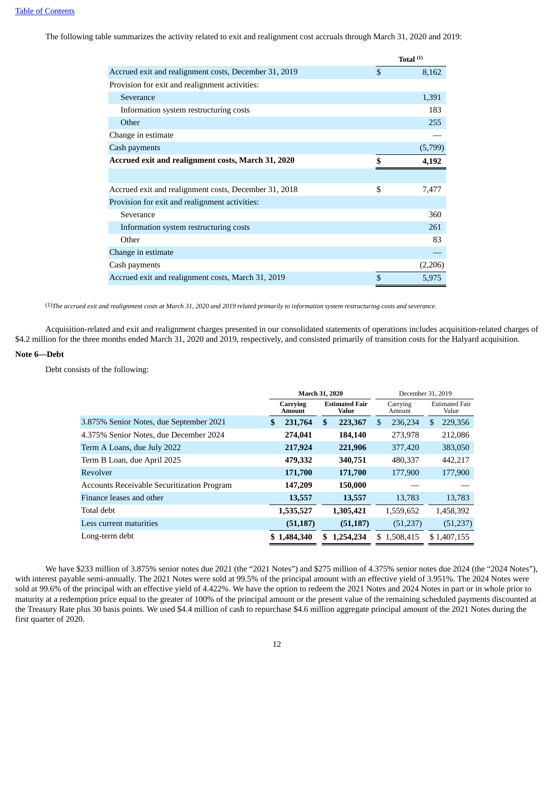The following table summarizes the activity related to exit and realignment cost accruals through March 31, 2020 and 2019:

|                                                       |               | Total <sup>(1)</sup> |
|-------------------------------------------------------|---------------|----------------------|
| Accrued exit and realignment costs, December 31, 2019 | $\mathbf{\$}$ | 8,162                |
| Provision for exit and realignment activities:        |               |                      |
| Severance                                             |               | 1,391                |
| Information system restructuring costs                |               | 183                  |
| Other                                                 |               | 255                  |
| Change in estimate                                    |               |                      |
| Cash payments                                         |               | (5,799)              |
| Accrued exit and realignment costs, March 31, 2020    | \$            | 4,192                |
|                                                       |               |                      |
| Accrued exit and realignment costs, December 31, 2018 | \$            | 7,477                |
| Provision for exit and realignment activities:        |               |                      |
| Severance                                             |               | 360                  |
| Information system restructuring costs                |               | 261                  |
| Other                                                 |               | 83                   |
| Change in estimate                                    |               |                      |
| Cash payments                                         |               | (2,206)              |
| Accrued exit and realignment costs, March 31, 2019    | \$            | 5,975                |

 $^{(1)}$ The accrued exit and realignment costs at March 31, 2020 and 2019 related primarily to information system restructuring costs and severance.

Acquisition-related and exit and realignment charges presented in our consolidated statements of operations includes acquisition-related charges of \$4.2 million for the three months ended March 31, 2020 and 2019, respectively, and consisted primarily of transition costs for the Halyard acquisition.

### **Note 6—Debt**

Debt consists of the following:

|                                                   |                    | March 31, 2020                 | December 31, 2019        |                                |  |  |  |
|---------------------------------------------------|--------------------|--------------------------------|--------------------------|--------------------------------|--|--|--|
|                                                   | Carrying<br>Amount | <b>Estimated Fair</b><br>Value | Carrying<br>Amount       | <b>Estimated Fair</b><br>Value |  |  |  |
| 3.875% Senior Notes, due September 2021           | 231,764<br>\$.     | <sup>\$</sup><br>223,367       | 236,234<br><sup>\$</sup> | \$<br>229,356                  |  |  |  |
| 4.375% Senior Notes, due December 2024            | 274,041            | 184,140                        | 273,978                  | 212,086                        |  |  |  |
| Term A Loans, due July 2022                       | 217,924            | 221,906                        | 377,420                  | 383,050                        |  |  |  |
| Term B Loan, due April 2025                       | 479,332            | 340,751                        | 480,337                  | 442,217                        |  |  |  |
| Revolver                                          | 171,700            | 171,700                        | 177,900                  | 177,900                        |  |  |  |
| <b>Accounts Receivable Securitization Program</b> | 147,209            | 150,000                        |                          |                                |  |  |  |
| Finance leases and other                          | 13,557             | 13,557                         | 13,783                   | 13,783                         |  |  |  |
| Total debt                                        | 1,535,527          | 1,305,421                      | 1,559,652                | 1,458,392                      |  |  |  |
| Less current maturities                           | (51, 187)          | (51, 187)                      | (51,237)                 | (51, 237)                      |  |  |  |
| Long-term debt                                    | \$1,484,340        | 1,254,234                      | \$1.508.415              | \$1,407,155                    |  |  |  |

We have \$233 million of 3.875% senior notes due 2021 (the "2021 Notes") and \$275 million of 4.375% senior notes due 2024 (the "2024 Notes"), with interest payable semi-annually. The 2021 Notes were sold at 99.5% of the principal amount with an effective yield of 3.951%. The 2024 Notes were sold at 99.6% of the principal with an effective yield of 4.422%. We have the option to redeem the 2021 Notes and 2024 Notes in part or in whole prior to maturity at a redemption price equal to the greater of 100% of the principal amount or the present value of the remaining scheduled payments discounted at the Treasury Rate plus 30 basis points. We used \$4.4 million of cash to repurchase \$4.6 million aggregate principal amount of the 2021 Notes during the first quarter of 2020.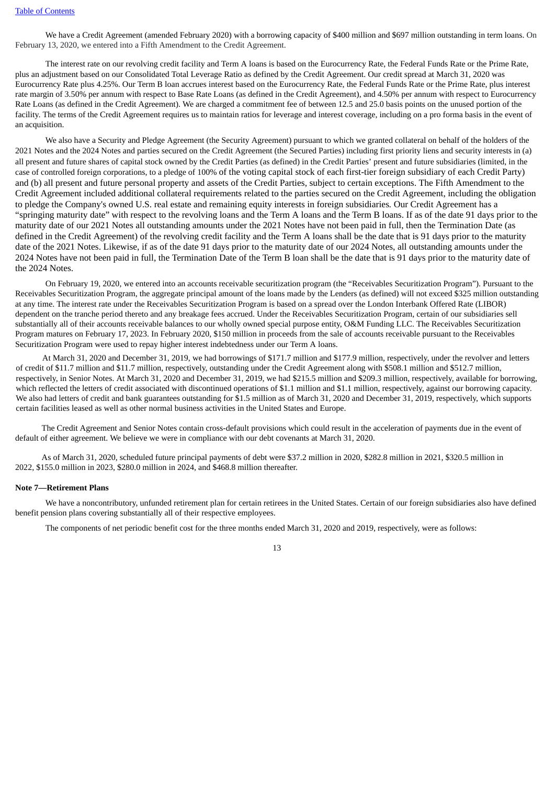We have a Credit Agreement (amended February 2020) with a borrowing capacity of \$400 million and \$697 million outstanding in term loans. On February 13, 2020, we entered into a Fifth Amendment to the Credit Agreement.

The interest rate on our revolving credit facility and Term A loans is based on the Eurocurrency Rate, the Federal Funds Rate or the Prime Rate, plus an adjustment based on our Consolidated Total Leverage Ratio as defined by the Credit Agreement. Our credit spread at March 31, 2020 was Eurocurrency Rate plus 4.25%. Our Term B loan accrues interest based on the Eurocurrency Rate, the Federal Funds Rate or the Prime Rate, plus interest rate margin of 3.50% per annum with respect to Base Rate Loans (as defined in the Credit Agreement), and 4.50% per annum with respect to Eurocurrency Rate Loans (as defined in the Credit Agreement). We are charged a commitment fee of between 12.5 and 25.0 basis points on the unused portion of the facility. The terms of the Credit Agreement requires us to maintain ratios for leverage and interest coverage, including on a pro forma basis in the event of an acquisition.

We also have a Security and Pledge Agreement (the Security Agreement) pursuant to which we granted collateral on behalf of the holders of the 2021 Notes and the 2024 Notes and parties secured on the Credit Agreement (the Secured Parties) including first priority liens and security interests in (a) all present and future shares of capital stock owned by the Credit Parties (as defined) in the Credit Parties' present and future subsidiaries (limited, in the case of controlled foreign corporations, to a pledge of 100% of the voting capital stock of each first-tier foreign subsidiary of each Credit Party) and (b) all present and future personal property and assets of the Credit Parties, subject to certain exceptions. The Fifth Amendment to the Credit Agreement included additional collateral requirements related to the parties secured on the Credit Agreement, including the obligation to pledge the Company's owned U.S. real estate and remaining equity interests in foreign subsidiaries*.* Our Credit Agreement has a "springing maturity date" with respect to the revolving loans and the Term A loans and the Term B loans. If as of the date 91 days prior to the maturity date of our 2021 Notes all outstanding amounts under the 2021 Notes have not been paid in full, then the Termination Date (as defined in the Credit Agreement) of the revolving credit facility and the Term A loans shall be the date that is 91 days prior to the maturity date of the 2021 Notes. Likewise, if as of the date 91 days prior to the maturity date of our 2024 Notes, all outstanding amounts under the 2024 Notes have not been paid in full, the Termination Date of the Term B loan shall be the date that is 91 days prior to the maturity date of the 2024 Notes.

On February 19, 2020, we entered into an accounts receivable securitization program (the "Receivables Securitization Program"). Pursuant to the Receivables Securitization Program, the aggregate principal amount of the loans made by the Lenders (as defined) will not exceed \$325 million outstanding at any time. The interest rate under the Receivables Securitization Program is based on a spread over the London Interbank Offered Rate (LIBOR) dependent on the tranche period thereto and any breakage fees accrued. Under the Receivables Securitization Program, certain of our subsidiaries sell substantially all of their accounts receivable balances to our wholly owned special purpose entity, O&M Funding LLC. The Receivables Securitization Program matures on February 17, 2023. In February 2020, \$150 million in proceeds from the sale of accounts receivable pursuant to the Receivables Securitization Program were used to repay higher interest indebtedness under our Term A loans.

At March 31, 2020 and December 31, 2019, we had borrowings of \$171.7 million and \$177.9 million, respectively, under the revolver and letters of credit of \$11.7 million and \$11.7 million, respectively, outstanding under the Credit Agreement along with \$508.1 million and \$512.7 million, respectively, in Senior Notes. At March 31, 2020 and December 31, 2019, we had \$215.5 million and \$209.3 million, respectively, available for borrowing, which reflected the letters of credit associated with discontinued operations of \$1.1 million and \$1.1 million, respectively, against our borrowing capacity. We also had letters of credit and bank guarantees outstanding for \$1.5 million as of March 31, 2020 and December 31, 2019, respectively, which supports certain facilities leased as well as other normal business activities in the United States and Europe.

The Credit Agreement and Senior Notes contain cross-default provisions which could result in the acceleration of payments due in the event of default of either agreement. We believe we were in compliance with our debt covenants at March 31, 2020.

As of March 31, 2020, scheduled future principal payments of debt were \$37.2 million in 2020, \$282.8 million in 2021, \$320.5 million in 2022, \$155.0 million in 2023, \$280.0 million in 2024, and \$468.8 million thereafter.

#### **Note 7—Retirement Plans**

We have a noncontributory, unfunded retirement plan for certain retirees in the United States. Certain of our foreign subsidiaries also have defined benefit pension plans covering substantially all of their respective employees.

The components of net periodic benefit cost for the three months ended March 31, 2020 and 2019, respectively, were as follows:

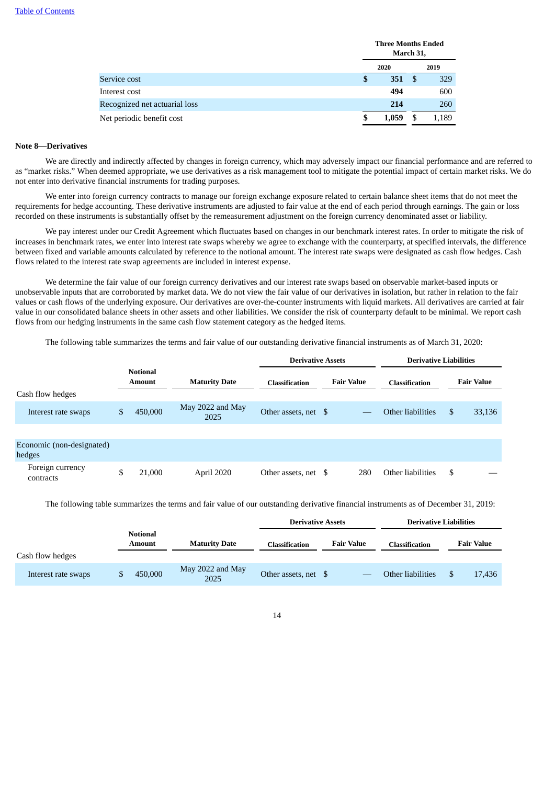|                               | <b>Three Months Ended</b><br>March 31, |   |       |  |
|-------------------------------|----------------------------------------|---|-------|--|
|                               | 2020                                   |   | 2019  |  |
| Service cost                  | \$<br>351                              | S | 329   |  |
| Interest cost                 | 494                                    |   | 600   |  |
| Recognized net actuarial loss | 214                                    |   | 260   |  |
| Net periodic benefit cost     | 1,059                                  |   | 1,189 |  |

#### **Note 8—Derivatives**

We are directly and indirectly affected by changes in foreign currency, which may adversely impact our financial performance and are referred to as "market risks." When deemed appropriate, we use derivatives as a risk management tool to mitigate the potential impact of certain market risks. We do not enter into derivative financial instruments for trading purposes.

We enter into foreign currency contracts to manage our foreign exchange exposure related to certain balance sheet items that do not meet the requirements for hedge accounting. These derivative instruments are adjusted to fair value at the end of each period through earnings. The gain or loss recorded on these instruments is substantially offset by the remeasurement adjustment on the foreign currency denominated asset or liability.

We pay interest under our Credit Agreement which fluctuates based on changes in our benchmark interest rates. In order to mitigate the risk of increases in benchmark rates, we enter into interest rate swaps whereby we agree to exchange with the counterparty, at specified intervals, the difference between fixed and variable amounts calculated by reference to the notional amount. The interest rate swaps were designated as cash flow hedges. Cash flows related to the interest rate swap agreements are included in interest expense.

We determine the fair value of our foreign currency derivatives and our interest rate swaps based on observable market-based inputs or unobservable inputs that are corroborated by market data. We do not view the fair value of our derivatives in isolation, but rather in relation to the fair values or cash flows of the underlying exposure. Our derivatives are over-the-counter instruments with liquid markets. All derivatives are carried at fair value in our consolidated balance sheets in other assets and other liabilities. We consider the risk of counterparty default to be minimal. We report cash flows from our hedging instruments in the same cash flow statement category as the hedged items.

The following table summarizes the terms and fair value of our outstanding derivative financial instruments as of March 31, 2020:

|                                     |                                  |                          | <b>Derivative Assets</b> |  |                   | <b>Derivative Liabilities</b> |                   |        |  |
|-------------------------------------|----------------------------------|--------------------------|--------------------------|--|-------------------|-------------------------------|-------------------|--------|--|
|                                     | <b>Notional</b><br><b>Amount</b> | <b>Maturity Date</b>     | <b>Classification</b>    |  | <b>Fair Value</b> | <b>Classification</b>         | <b>Fair Value</b> |        |  |
| Cash flow hedges                    |                                  |                          |                          |  |                   |                               |                   |        |  |
| Interest rate swaps                 | \$<br>450,000                    | May 2022 and May<br>2025 | Other assets, net \$     |  |                   | Other liabilities             | \$                | 33,136 |  |
|                                     |                                  |                          |                          |  |                   |                               |                   |        |  |
| Economic (non-designated)<br>hedges |                                  |                          |                          |  |                   |                               |                   |        |  |
| Foreign currency<br>contracts       | \$<br>21,000                     | April 2020               | Other assets, net \$     |  | 280               | Other liabilities             | \$                |        |  |

The following table summarizes the terms and fair value of our outstanding derivative financial instruments as of December 31, 2019:

|                           |  |                      |                          | <b>Derivative Assets</b> |                | <b>Derivative Liabilities</b> |  |        |  |
|---------------------------|--|----------------------|--------------------------|--------------------------|----------------|-------------------------------|--|--------|--|
| <b>Notional</b><br>Amount |  | <b>Maturity Date</b> | <b>Classification</b>    | <b>Fair Value</b>        | Classification | <b>Fair Value</b>             |  |        |  |
| Cash flow hedges          |  |                      |                          |                          |                |                               |  |        |  |
| Interest rate swaps       |  | 450,000              | May 2022 and May<br>2025 | Other assets, net \$     |                | Other liabilities             |  | 17.436 |  |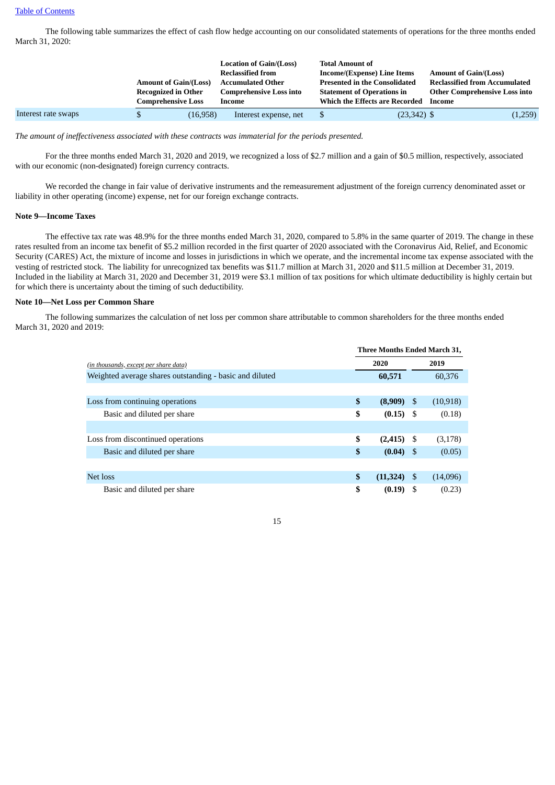The following table summarizes the effect of cash flow hedge accounting on our consolidated statements of operations for the three months ended March 31, 2020:

|                     | <b>Amount of Gain/(Loss)</b><br><b>Recognized in Other</b><br><b>Comprehensive Loss</b> |          | <b>Location of Gain/(Loss)</b><br><b>Reclassified from</b><br><b>Accumulated Other</b><br><b>Comprehensive Loss into</b><br>Income | <b>Total Amount of</b><br>Income/(Expense) Line Items<br><b>Presented in the Consolidated</b><br><b>Statement of Operations in</b> | Which the Effects are Recorded | <b>Amount of Gain/(Loss)</b><br><b>Reclassified from Accumulated</b><br><b>Other Comprehensive Loss into</b><br>Income |         |
|---------------------|-----------------------------------------------------------------------------------------|----------|------------------------------------------------------------------------------------------------------------------------------------|------------------------------------------------------------------------------------------------------------------------------------|--------------------------------|------------------------------------------------------------------------------------------------------------------------|---------|
| Interest rate swaps |                                                                                         | (16,958) | Interest expense, net                                                                                                              |                                                                                                                                    | $(23,342)$ \$                  |                                                                                                                        | (1,259) |

*The amount of ineffectiveness associated with these contracts was immaterial for the periods presented.*

For the three months ended March 31, 2020 and 2019, we recognized a loss of \$2.7 million and a gain of \$0.5 million, respectively, associated with our economic (non-designated) foreign currency contracts.

We recorded the change in fair value of derivative instruments and the remeasurement adjustment of the foreign currency denominated asset or liability in other operating (income) expense, net for our foreign exchange contracts.

#### **Note 9—Income Taxes**

The effective tax rate was 48.9% for the three months ended March 31, 2020, compared to 5.8% in the same quarter of 2019. The change in these rates resulted from an income tax benefit of \$5.2 million recorded in the first quarter of 2020 associated with the Coronavirus Aid, Relief, and Economic Security (CARES) Act, the mixture of income and losses in jurisdictions in which we operate, and the incremental income tax expense associated with the vesting of restricted stock. The liability for unrecognized tax benefits was \$11.7 million at March 31, 2020 and \$11.5 million at December 31, 2019. Included in the liability at March 31, 2020 and December 31, 2019 were \$3.1 million of tax positions for which ultimate deductibility is highly certain but for which there is uncertainty about the timing of such deductibility.

#### **Note 10—Net Loss per Common Share**

The following summarizes the calculation of net loss per common share attributable to common shareholders for the three months ended March 31, 2020 and 2019:

|                                                         | Three Months Ended March 31, |              |      |          |  |  |
|---------------------------------------------------------|------------------------------|--------------|------|----------|--|--|
| (in thousands, except per share data)                   |                              | 2020         |      | 2019     |  |  |
| Weighted average shares outstanding - basic and diluted |                              | 60,571       |      | 60,376   |  |  |
|                                                         |                              |              |      |          |  |  |
| Loss from continuing operations                         | \$                           | (8,909)      | - \$ | (10,918) |  |  |
| Basic and diluted per share                             | \$                           | $(0.15)$ \$  |      | (0.18)   |  |  |
|                                                         |                              |              |      |          |  |  |
| Loss from discontinued operations                       | \$                           | $(2,415)$ \$ |      | (3, 178) |  |  |
| Basic and diluted per share                             | \$                           | $(0.04)$ \$  |      | (0.05)   |  |  |
|                                                         |                              |              |      |          |  |  |
| Net loss                                                | \$                           | (11, 324)    | -S   | (14,096) |  |  |
| Basic and diluted per share                             | \$                           | (0.19)       |      | (0.23)   |  |  |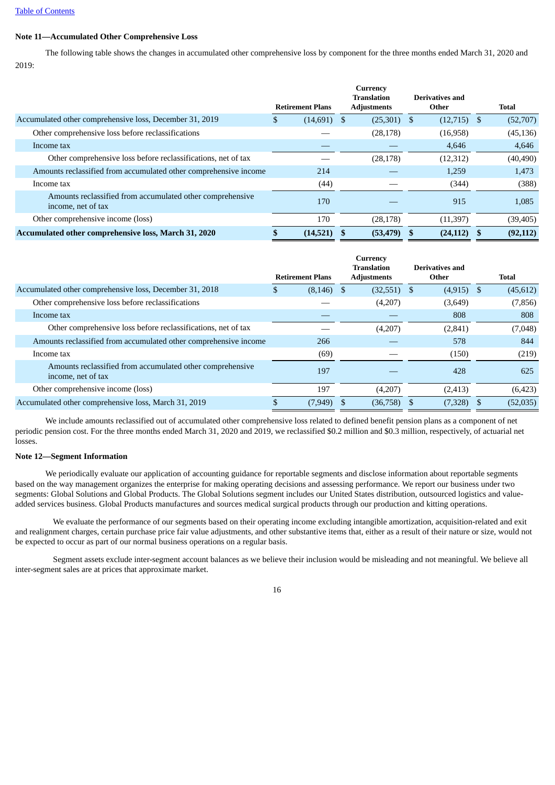### **Note 11—Accumulated Other Comprehensive Loss**

The following table shows the changes in accumulated other comprehensive loss by component for the three months ended March 31, 2020 and 2019:

|                                                                                 |                         |               | Currency                                 |                                 |               |              |
|---------------------------------------------------------------------------------|-------------------------|---------------|------------------------------------------|---------------------------------|---------------|--------------|
|                                                                                 | <b>Retirement Plans</b> |               | <b>Translation</b><br><b>Adjustments</b> | <b>Derivatives and</b><br>Other |               | <b>Total</b> |
| Accumulated other comprehensive loss, December 31, 2019                         |                         | $(14,691)$ \$ | $(25,301)$ \$                            |                                 | $(12,715)$ \$ | (52,707)     |
| Other comprehensive loss before reclassifications                               |                         |               | (28, 178)                                |                                 | (16,958)      | (45, 136)    |
| Income tax                                                                      |                         |               |                                          |                                 | 4,646         | 4,646        |
| Other comprehensive loss before reclassifications, net of tax                   |                         |               | (28, 178)                                |                                 | (12,312)      | (40, 490)    |
| Amounts reclassified from accumulated other comprehensive income                |                         | 214           |                                          |                                 | 1,259         | 1,473        |
| Income tax                                                                      |                         | (44)          |                                          |                                 | (344)         | (388)        |
| Amounts reclassified from accumulated other comprehensive<br>income, net of tax |                         | 170           |                                          |                                 | 915           | 1,085        |
| Other comprehensive income (loss)                                               |                         | 170           | (28, 178)                                |                                 | (11, 397)     | (39, 405)    |
| Accumulated other comprehensive loss, March 31, 2020                            |                         | (14,521)      | (53, 479)                                |                                 | (24, 112)     | (92, 112)    |

|                                                                                 |                         | Currency<br><b>Translation</b> | Derivatives and |              |
|---------------------------------------------------------------------------------|-------------------------|--------------------------------|-----------------|--------------|
|                                                                                 | <b>Retirement Plans</b> | <b>Adjustments</b>             | Other           | <b>Total</b> |
| Accumulated other comprehensive loss, December 31, 2018                         | $(8,146)$ \$            | $(32,551)$ \$                  | $(4,915)$ \$    | (45, 612)    |
| Other comprehensive loss before reclassifications                               |                         | (4,207)                        | (3,649)         | (7,856)      |
| Income tax                                                                      |                         |                                | 808             | 808          |
| Other comprehensive loss before reclassifications, net of tax                   |                         | (4,207)                        | (2,841)         | (7,048)      |
| Amounts reclassified from accumulated other comprehensive income                | 266                     |                                | 578             | 844          |
| Income tax                                                                      | (69)                    |                                | (150)           | (219)        |
| Amounts reclassified from accumulated other comprehensive<br>income, net of tax | 197                     |                                | 428             | 625          |
| Other comprehensive income (loss)                                               | 197                     | (4,207)                        | (2, 413)        | (6, 423)     |
| Accumulated other comprehensive loss, March 31, 2019                            | $(7,949)$ \$            | (36,758)                       | (7,328)         | (52,035)     |
|                                                                                 |                         |                                |                 |              |

We include amounts reclassified out of accumulated other comprehensive loss related to defined benefit pension plans as a component of net periodic pension cost. For the three months ended March 31, 2020 and 2019, we reclassified \$0.2 million and \$0.3 million, respectively, of actuarial net losses.

#### **Note 12—Segment Information**

We periodically evaluate our application of accounting guidance for reportable segments and disclose information about reportable segments based on the way management organizes the enterprise for making operating decisions and assessing performance. We report our business under two segments: Global Solutions and Global Products. The Global Solutions segment includes our United States distribution, outsourced logistics and valueadded services business. Global Products manufactures and sources medical surgical products through our production and kitting operations.

We evaluate the performance of our segments based on their operating income excluding intangible amortization, acquisition-related and exit and realignment charges, certain purchase price fair value adjustments, and other substantive items that, either as a result of their nature or size, would not be expected to occur as part of our normal business operations on a regular basis.

Segment assets exclude inter-segment account balances as we believe their inclusion would be misleading and not meaningful. We believe all inter-segment sales are at prices that approximate market.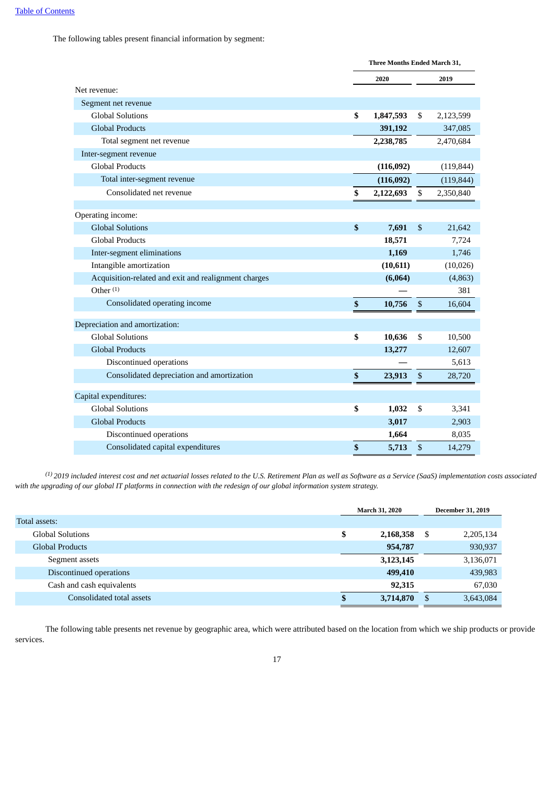The following tables present financial information by segment:

|                                                      | Three Months Ended March 31, |           |                           |            |  |  |
|------------------------------------------------------|------------------------------|-----------|---------------------------|------------|--|--|
|                                                      |                              | 2020      |                           | 2019       |  |  |
| Net revenue:                                         |                              |           |                           |            |  |  |
| Segment net revenue                                  |                              |           |                           |            |  |  |
| <b>Global Solutions</b>                              | \$                           | 1,847,593 | \$                        | 2,123,599  |  |  |
| <b>Global Products</b>                               |                              | 391,192   |                           | 347,085    |  |  |
| Total segment net revenue                            |                              | 2,238,785 |                           | 2,470,684  |  |  |
| Inter-segment revenue                                |                              |           |                           |            |  |  |
| <b>Global Products</b>                               |                              | (116,092) |                           | (119, 844) |  |  |
| Total inter-segment revenue                          |                              | (116,092) |                           | (119, 844) |  |  |
| Consolidated net revenue                             | \$                           | 2,122,693 | \$                        | 2,350,840  |  |  |
|                                                      |                              |           |                           |            |  |  |
| Operating income:                                    |                              |           |                           |            |  |  |
| <b>Global Solutions</b>                              | \$                           | 7,691     | \$                        | 21,642     |  |  |
| <b>Global Products</b>                               |                              | 18,571    |                           | 7,724      |  |  |
| Inter-segment eliminations                           |                              | 1,169     |                           | 1,746      |  |  |
| Intangible amortization                              |                              | (10,611)  |                           | (10,026)   |  |  |
| Acquisition-related and exit and realignment charges |                              | (6,064)   |                           | (4, 863)   |  |  |
| Other $(1)$                                          |                              |           |                           | 381        |  |  |
| Consolidated operating income                        | \$                           | 10,756    | $\,$                      | 16,604     |  |  |
| Depreciation and amortization:                       |                              |           |                           |            |  |  |
| <b>Global Solutions</b>                              | \$                           | 10,636    | \$                        | 10,500     |  |  |
| <b>Global Products</b>                               |                              | 13,277    |                           | 12,607     |  |  |
| Discontinued operations                              |                              |           |                           | 5,613      |  |  |
| Consolidated depreciation and amortization           | \$                           | 23,913    | ${\mathbb S}$             | 28,720     |  |  |
|                                                      |                              |           |                           |            |  |  |
| Capital expenditures:                                |                              |           |                           |            |  |  |
| <b>Global Solutions</b>                              | \$                           | 1,032     | \$                        | 3,341      |  |  |
| <b>Global Products</b>                               |                              | 3,017     |                           | 2,903      |  |  |
| Discontinued operations                              |                              | 1,664     |                           | 8,035      |  |  |
| Consolidated capital expenditures                    | \$                           | 5,713     | $\boldsymbol{\mathsf{S}}$ | 14,279     |  |  |

*(1) 2019 included interest cost and net actuarial losses related to the U.S. Retirement Plan as well as Software as a Service (SaaS) implementation costs associated with the upgrading of our global IT platforms in connection with the redesign of our global information system strategy.*

|                           |    | <b>March 31, 2020</b> | <b>December 31, 2019</b> |           |  |
|---------------------------|----|-----------------------|--------------------------|-----------|--|
| Total assets:             |    |                       |                          |           |  |
| Global Solutions          | \$ | 2,168,358             | S                        | 2,205,134 |  |
| <b>Global Products</b>    |    | 954,787               |                          | 930,937   |  |
| Segment assets            |    | 3,123,145             |                          | 3,136,071 |  |
| Discontinued operations   |    | 499,410               |                          | 439,983   |  |
| Cash and cash equivalents |    | 92,315                |                          | 67,030    |  |
| Consolidated total assets | S  | 3,714,870             |                          | 3,643,084 |  |

The following table presents net revenue by geographic area, which were attributed based on the location from which we ship products or provide services.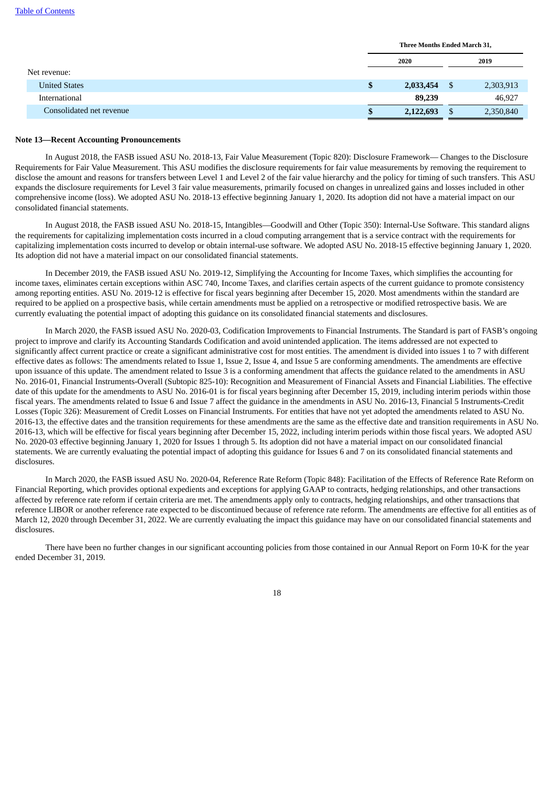|                          | Three Months Ended March 31, |           |      |           |  |  |
|--------------------------|------------------------------|-----------|------|-----------|--|--|
|                          | 2020                         |           |      | 2019      |  |  |
| Net revenue:             |                              |           |      |           |  |  |
| <b>United States</b>     | \$                           | 2,033,454 | - \$ | 2,303,913 |  |  |
| International            |                              | 89,239    |      | 46,927    |  |  |
| Consolidated net revenue | S                            | 2,122,693 |      | 2,350,840 |  |  |

#### **Note 13—Recent Accounting Pronouncements**

In August 2018, the FASB issued ASU No. 2018-13, Fair Value Measurement (Topic 820): Disclosure Framework— Changes to the Disclosure Requirements for Fair Value Measurement. This ASU modifies the disclosure requirements for fair value measurements by removing the requirement to disclose the amount and reasons for transfers between Level 1 and Level 2 of the fair value hierarchy and the policy for timing of such transfers. This ASU expands the disclosure requirements for Level 3 fair value measurements, primarily focused on changes in unrealized gains and losses included in other comprehensive income (loss). We adopted ASU No. 2018-13 effective beginning January 1, 2020. Its adoption did not have a material impact on our consolidated financial statements.

In August 2018, the FASB issued ASU No. 2018-15, Intangibles—Goodwill and Other (Topic 350): Internal-Use Software. This standard aligns the requirements for capitalizing implementation costs incurred in a cloud computing arrangement that is a service contract with the requirements for capitalizing implementation costs incurred to develop or obtain internal-use software. We adopted ASU No. 2018-15 effective beginning January 1, 2020. Its adoption did not have a material impact on our consolidated financial statements.

In December 2019, the FASB issued ASU No. 2019-12, Simplifying the Accounting for Income Taxes, which simplifies the accounting for income taxes, eliminates certain exceptions within ASC 740, Income Taxes, and clarifies certain aspects of the current guidance to promote consistency among reporting entities. ASU No. 2019-12 is effective for fiscal years beginning after December 15, 2020. Most amendments within the standard are required to be applied on a prospective basis, while certain amendments must be applied on a retrospective or modified retrospective basis. We are currently evaluating the potential impact of adopting this guidance on its consolidated financial statements and disclosures.

In March 2020, the FASB issued ASU No. 2020-03, Codification Improvements to Financial Instruments. The Standard is part of FASB's ongoing project to improve and clarify its Accounting Standards Codification and avoid unintended application. The items addressed are not expected to significantly affect current practice or create a significant administrative cost for most entities. The amendment is divided into issues 1 to 7 with different effective dates as follows: The amendments related to Issue 1, Issue 2, Issue 4, and Issue 5 are conforming amendments. The amendments are effective upon issuance of this update. The amendment related to Issue 3 is a conforming amendment that affects the guidance related to the amendments in ASU No. 2016-01, Financial Instruments-Overall (Subtopic 825-10): Recognition and Measurement of Financial Assets and Financial Liabilities. The effective date of this update for the amendments to ASU No. 2016-01 is for fiscal years beginning after December 15, 2019, including interim periods within those fiscal years. The amendments related to Issue 6 and Issue 7 affect the guidance in the amendments in ASU No. 2016-13, Financial 5 Instruments-Credit Losses (Topic 326): Measurement of Credit Losses on Financial Instruments. For entities that have not yet adopted the amendments related to ASU No. 2016-13, the effective dates and the transition requirements for these amendments are the same as the effective date and transition requirements in ASU No. 2016-13, which will be effective for fiscal years beginning after December 15, 2022, including interim periods within those fiscal years. We adopted ASU No. 2020-03 effective beginning January 1, 2020 for Issues 1 through 5. Its adoption did not have a material impact on our consolidated financial statements. We are currently evaluating the potential impact of adopting this guidance for Issues 6 and 7 on its consolidated financial statements and disclosures.

In March 2020, the FASB issued ASU No. 2020-04, Reference Rate Reform (Topic 848): Facilitation of the Effects of Reference Rate Reform on Financial Reporting, which provides optional expedients and exceptions for applying GAAP to contracts, hedging relationships, and other transactions affected by reference rate reform if certain criteria are met. The amendments apply only to contracts, hedging relationships, and other transactions that reference LIBOR or another reference rate expected to be discontinued because of reference rate reform. The amendments are effective for all entities as of March 12, 2020 through December 31, 2022. We are currently evaluating the impact this guidance may have on our consolidated financial statements and disclosures.

<span id="page-17-0"></span>There have been no further changes in our significant accounting policies from those contained in our Annual Report on Form 10-K for the year ended December 31, 2019.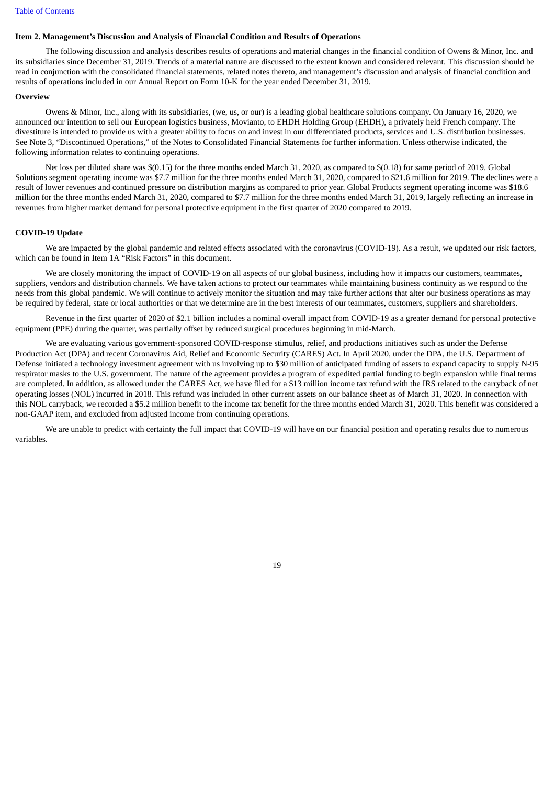#### **Item 2. Management's Discussion and Analysis of Financial Condition and Results of Operations**

The following discussion and analysis describes results of operations and material changes in the financial condition of Owens & Minor, Inc. and its subsidiaries since December 31, 2019. Trends of a material nature are discussed to the extent known and considered relevant. This discussion should be read in conjunction with the consolidated financial statements, related notes thereto, and management's discussion and analysis of financial condition and results of operations included in our Annual Report on Form 10-K for the year ended December 31, 2019.

#### **Overview**

Owens & Minor, Inc., along with its subsidiaries, (we, us, or our) is a leading global healthcare solutions company. On January 16, 2020, we announced our intention to sell our European logistics business, Movianto, to EHDH Holding Group (EHDH), a privately held French company. The divestiture is intended to provide us with a greater ability to focus on and invest in our differentiated products, services and U.S. distribution businesses. See Note 3, "Discontinued Operations," of the Notes to Consolidated Financial Statements for further information. Unless otherwise indicated, the following information relates to continuing operations.

Net loss per diluted share was \$(0.15) for the three months ended March 31, 2020, as compared to \$(0.18) for same period of 2019. Global Solutions segment operating income was \$7.7 million for the three months ended March 31, 2020, compared to \$21.6 million for 2019. The declines were a result of lower revenues and continued pressure on distribution margins as compared to prior year. Global Products segment operating income was \$18.6 million for the three months ended March 31, 2020, compared to \$7.7 million for the three months ended March 31, 2019, largely reflecting an increase in revenues from higher market demand for personal protective equipment in the first quarter of 2020 compared to 2019.

#### **COVID-19 Update**

We are impacted by the global pandemic and related effects associated with the coronavirus (COVID-19). As a result, we updated our risk factors, which can be found in Item 1A "Risk Factors" in this document.

We are closely monitoring the impact of COVID-19 on all aspects of our global business, including how it impacts our customers, teammates, suppliers, vendors and distribution channels. We have taken actions to protect our teammates while maintaining business continuity as we respond to the needs from this global pandemic. We will continue to actively monitor the situation and may take further actions that alter our business operations as may be required by federal, state or local authorities or that we determine are in the best interests of our teammates, customers, suppliers and shareholders.

Revenue in the first quarter of 2020 of \$2.1 billion includes a nominal overall impact from COVID-19 as a greater demand for personal protective equipment (PPE) during the quarter, was partially offset by reduced surgical procedures beginning in mid-March.

We are evaluating various government-sponsored COVID-response stimulus, relief, and productions initiatives such as under the Defense Production Act (DPA) and recent Coronavirus Aid, Relief and Economic Security (CARES) Act. In April 2020, under the DPA, the U.S. Department of Defense initiated a technology investment agreement with us involving up to \$30 million of anticipated funding of assets to expand capacity to supply N-95 respirator masks to the U.S. government. The nature of the agreement provides a program of expedited partial funding to begin expansion while final terms are completed. In addition, as allowed under the CARES Act, we have filed for a \$13 million income tax refund with the IRS related to the carryback of net operating losses (NOL) incurred in 2018. This refund was included in other current assets on our balance sheet as of March 31, 2020. In connection with this NOL carryback, we recorded a \$5.2 million benefit to the income tax benefit for the three months ended March 31, 2020. This benefit was considered a non-GAAP item, and excluded from adjusted income from continuing operations.

We are unable to predict with certainty the full impact that COVID-19 will have on our financial position and operating results due to numerous variables.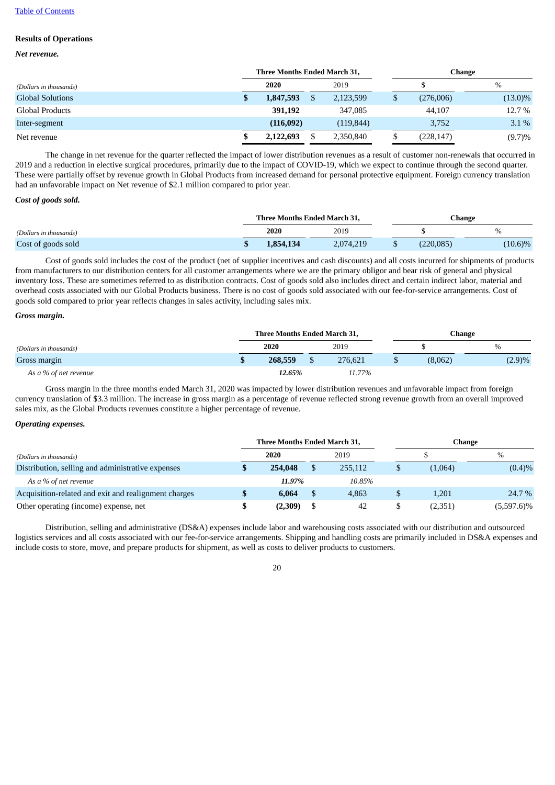## **Results of Operations**

*Net revenue.*

|                         | Three Months Ended March 31, |           |  |            |  | Change     |            |  |  |
|-------------------------|------------------------------|-----------|--|------------|--|------------|------------|--|--|
| (Dollars in thousands)  |                              | 2020      |  | 2019       |  |            | $\%$       |  |  |
| <b>Global Solutions</b> |                              | 1,847,593 |  | 2,123,599  |  | (276,006)  | $(13.0)\%$ |  |  |
| Global Products         |                              | 391,192   |  | 347,085    |  | 44,107     | 12.7 %     |  |  |
| Inter-segment           |                              | (116,092) |  | (119, 844) |  | 3,752      | $3.1\%$    |  |  |
| Net revenue             |                              | 2,122,693 |  | 2,350,840  |  | (228, 147) | (9.7)%     |  |  |

The change in net revenue for the quarter reflected the impact of lower distribution revenues as a result of customer non-renewals that occurred in 2019 and a reduction in elective surgical procedures, primarily due to the impact of COVID-19, which we expect to continue through the second quarter. These were partially offset by revenue growth in Global Products from increased demand for personal protective equipment. Foreign currency translation had an unfavorable impact on Net revenue of \$2.1 million compared to prior year.

#### *Cost of goods sold.*

|                        | Three Months Ended March 31, |           |           |  | Change     |               |  |  |
|------------------------|------------------------------|-----------|-----------|--|------------|---------------|--|--|
| (Dollars in thousands) |                              | 2020      | 2019      |  |            | $\frac{0}{0}$ |  |  |
| Cost of goods sold     |                              | 1,854,134 | 2,074,219 |  | (220, 085) | $(10.6)\%$    |  |  |

Cost of goods sold includes the cost of the product (net of supplier incentives and cash discounts) and all costs incurred for shipments of products from manufacturers to our distribution centers for all customer arrangements where we are the primary obligor and bear risk of general and physical inventory loss. These are sometimes referred to as distribution contracts. Cost of goods sold also includes direct and certain indirect labor, material and overhead costs associated with our Global Products business. There is no cost of goods sold associated with our fee-for-service arrangements. Cost of goods sold compared to prior year reflects changes in sales activity, including sales mix.

#### *Gross margin.*

| (Dollars in thousands) |  | Three Months Ended March 31, |         |      |         |  | Change  |        |  |  |
|------------------------|--|------------------------------|---------|------|---------|--|---------|--------|--|--|
|                        |  | 2020                         |         | 2019 |         |  |         | $\%$   |  |  |
| Gross margin           |  |                              | 268,559 |      | 276.621 |  | (8,062) | (2.9)% |  |  |
| As a % of net revenue  |  |                              | 12.65%  |      | 11.77%  |  |         |        |  |  |

Gross margin in the three months ended March 31, 2020 was impacted by lower distribution revenues and unfavorable impact from foreign currency translation of \$3.3 million. The increase in gross margin as a percentage of revenue reflected strong revenue growth from an overall improved sales mix, as the Global Products revenues constitute a higher percentage of revenue.

## *Operating expenses.*

|                                                      | Three Months Ended March 31, |         |  |         |  | Change  |               |  |  |
|------------------------------------------------------|------------------------------|---------|--|---------|--|---------|---------------|--|--|
| (Dollars in thousands)                               |                              | 2020    |  | 2019    |  |         | %             |  |  |
| Distribution, selling and administrative expenses    |                              | 254,048 |  | 255,112 |  | (1,064) | $(0.4)\%$     |  |  |
| As a % of net revenue                                |                              | 11.97%  |  | 10.85%  |  |         |               |  |  |
| Acquisition-related and exit and realignment charges |                              | 6.064   |  | 4.863   |  | 1,201   | 24.7 %        |  |  |
| Other operating (income) expense, net                |                              | (2,309) |  | 42      |  | (2,351) | $(5,597.6)\%$ |  |  |

Distribution, selling and administrative (DS&A) expenses include labor and warehousing costs associated with our distribution and outsourced logistics services and all costs associated with our fee-for-service arrangements. Shipping and handling costs are primarily included in DS&A expenses and include costs to store, move, and prepare products for shipment, as well as costs to deliver products to customers.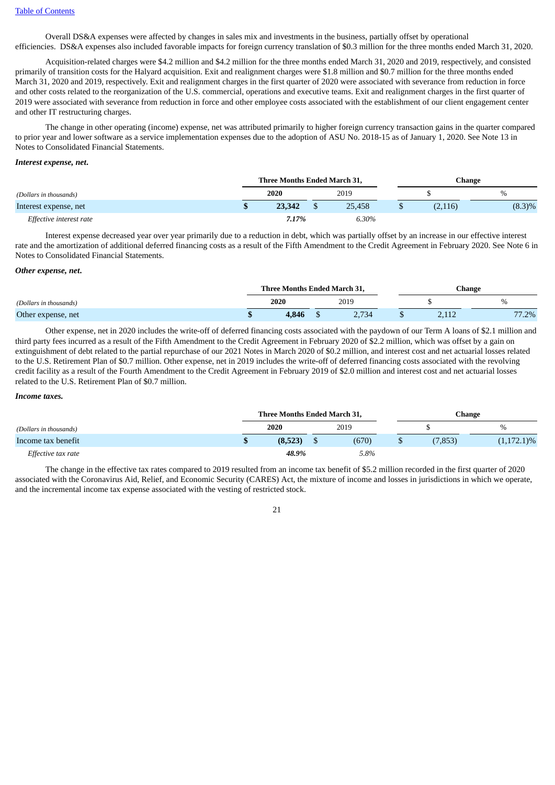Overall DS&A expenses were affected by changes in sales mix and investments in the business, partially offset by operational efficiencies. DS&A expenses also included favorable impacts for foreign currency translation of \$0.3 million for the three months ended March 31, 2020.

Acquisition-related charges were \$4.2 million and \$4.2 million for the three months ended March 31, 2020 and 2019, respectively, and consisted primarily of transition costs for the Halyard acquisition. Exit and realignment charges were \$1.8 million and \$0.7 million for the three months ended March 31, 2020 and 2019, respectively. Exit and realignment charges in the first quarter of 2020 were associated with severance from reduction in force and other costs related to the reorganization of the U.S. commercial, operations and executive teams. Exit and realignment charges in the first quarter of 2019 were associated with severance from reduction in force and other employee costs associated with the establishment of our client engagement center and other IT restructuring charges.

The change in other operating (income) expense, net was attributed primarily to higher foreign currency transaction gains in the quarter compared to prior year and lower software as a service implementation expenses due to the adoption of ASU No. 2018-15 as of January 1, 2020. See Note 13 in Notes to Consolidated Financial Statements.

### *Interest expense, net***.**

|                         |      | Three Months Ended March 31, |      |        | Change |         |           |  |
|-------------------------|------|------------------------------|------|--------|--------|---------|-----------|--|
| (Dollars in thousands)  | 2020 |                              | 2019 |        |        |         | $\%$      |  |
| Interest expense, net   |      | 23,342                       |      | 25.458 |        | (2,116) | $(8.3)\%$ |  |
| Effective interest rate |      | 7.17%                        |      | 6.30%  |        |         |           |  |

Interest expense decreased year over year primarily due to a reduction in debt, which was partially offset by an increase in our effective interest rate and the amortization of additional deferred financing costs as a result of the Fifth Amendment to the Credit Agreement in February 2020. See Note 6 in Notes to Consolidated Financial Statements.

#### *Other expense, net***.**

|                        | Three Months Ended March 31, |       |  |       |  | Change |       |       |
|------------------------|------------------------------|-------|--|-------|--|--------|-------|-------|
| (Dollars in thousands) |                              | 2020  |  | 2019  |  |        |       | $\%$  |
| Other expense, net     |                              | 1.846 |  | 2.734 |  |        | 2.112 | 77.2% |

Other expense, net in 2020 includes the write-off of deferred financing costs associated with the paydown of our Term A loans of \$2.1 million and third party fees incurred as a result of the Fifth Amendment to the Credit Agreement in February 2020 of \$2.2 million, which was offset by a gain on extinguishment of debt related to the partial repurchase of our 2021 Notes in March 2020 of \$0.2 million, and interest cost and net actuarial losses related to the U.S. Retirement Plan of \$0.7 million. Other expense, net in 2019 includes the write-off of deferred financing costs associated with the revolving credit facility as a result of the Fourth Amendment to the Credit Agreement in February 2019 of \$2.0 million and interest cost and net actuarial losses related to the U.S. Retirement Plan of \$0.7 million.

#### *Income taxes.*

|                        |  |      | Three Months Ended March 31, |      |       | <b>Change</b> |          |                |  |
|------------------------|--|------|------------------------------|------|-------|---------------|----------|----------------|--|
| (Dollars in thousands) |  | 2020 |                              | 2019 |       |               |          | $\%$           |  |
| Income tax benefit     |  |      | (8,523)                      |      | (670) |               | (7, 853) | $(1, 172.1)\%$ |  |
| Effective tax rate     |  |      | 48.9%                        |      | 5.8%  |               |          |                |  |

The change in the effective tax rates compared to 2019 resulted from an income tax benefit of \$5.2 million recorded in the first quarter of 2020 associated with the Coronavirus Aid, Relief, and Economic Security (CARES) Act, the mixture of income and losses in jurisdictions in which we operate, and the incremental income tax expense associated with the vesting of restricted stock.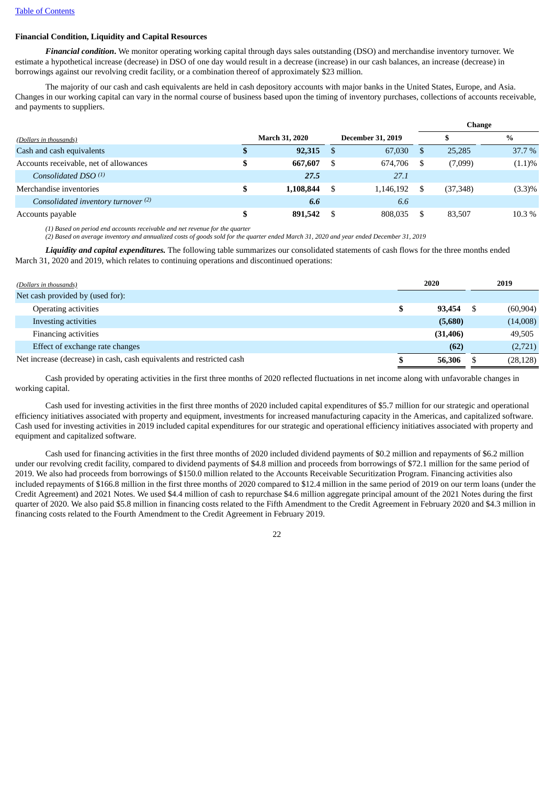## **Financial Condition, Liquidity and Capital Resources**

*Financial condition***.** We monitor operating working capital through days sales outstanding (DSO) and merchandise inventory turnover. We estimate a hypothetical increase (decrease) in DSO of one day would result in a decrease (increase) in our cash balances, an increase (decrease) in borrowings against our revolving credit facility, or a combination thereof of approximately \$23 million.

The majority of our cash and cash equivalents are held in cash depository accounts with major banks in the United States, Europe, and Asia. Changes in our working capital can vary in the normal course of business based upon the timing of inventory purchases, collections of accounts receivable, and payments to suppliers.

|                                        |    |                       |    |                          |    |          | <b>Change</b> |
|----------------------------------------|----|-----------------------|----|--------------------------|----|----------|---------------|
| (Dollars in thousands)                 |    | <b>March 31, 2020</b> |    | <b>December 31, 2019</b> |    |          | $\frac{0}{0}$ |
| Cash and cash equivalents              | D  | 92,315                | -S | 67,030                   | -S | 25,285   | 37.7 %        |
| Accounts receivable, net of allowances | \$ | 667,607               | S. | 674.706                  |    | (7,099)  | $(1.1)\%$     |
| Consolidated DSO $(1)$                 |    | 27.5                  |    | 27.1                     |    |          |               |
| Merchandise inventories                | \$ | 1,108,844             |    | 1,146,192                |    | (37,348) | $(3.3)\%$     |
| Consolidated inventory turnover (2)    |    | 6.6                   |    | 6.6                      |    |          |               |
| Accounts payable                       | \$ | 891,542               |    | 808,035                  |    | 83,507   | 10.3%         |

*(1) Based on period end accounts receivable and net revenue for the quarter*

(2) Based on average inventory and annualized costs of goods sold for the quarter ended March 31, 2020 and year ended December 31, 2019

*Liquidity and capital expenditures.* The following table summarizes our consolidated statements of cash flows for the three months ended March 31, 2020 and 2019, which relates to continuing operations and discontinued operations:

| (Dollars in thousands)                                                | 2020 |           | 2019 |           |
|-----------------------------------------------------------------------|------|-----------|------|-----------|
| Net cash provided by (used for):                                      |      |           |      |           |
| <b>Operating activities</b>                                           |      | 93,454    | -S   | (60, 904) |
| Investing activities                                                  |      | (5,680)   |      | (14,008)  |
| Financing activities                                                  |      | (31, 406) |      | 49,505    |
| Effect of exchange rate changes                                       |      | (62)      |      | (2,721)   |
| Net increase (decrease) in cash, cash equivalents and restricted cash |      | 56,306    |      | (28, 128) |

Cash provided by operating activities in the first three months of 2020 reflected fluctuations in net income along with unfavorable changes in working capital.

Cash used for investing activities in the first three months of 2020 included capital expenditures of \$5.7 million for our strategic and operational efficiency initiatives associated with property and equipment, investments for increased manufacturing capacity in the Americas, and capitalized software. Cash used for investing activities in 2019 included capital expenditures for our strategic and operational efficiency initiatives associated with property and equipment and capitalized software.

Cash used for financing activities in the first three months of 2020 included dividend payments of \$0.2 million and repayments of \$6.2 million under our revolving credit facility, compared to dividend payments of \$4.8 million and proceeds from borrowings of \$72.1 million for the same period of 2019. We also had proceeds from borrowings of \$150.0 million related to the Accounts Receivable Securitization Program. Financing activities also included repayments of \$166.8 million in the first three months of 2020 compared to \$12.4 million in the same period of 2019 on our term loans (under the Credit Agreement) and 2021 Notes. We used \$4.4 million of cash to repurchase \$4.6 million aggregate principal amount of the 2021 Notes during the first quarter of 2020. We also paid \$5.8 million in financing costs related to the Fifth Amendment to the Credit Agreement in February 2020 and \$4.3 million in financing costs related to the Fourth Amendment to the Credit Agreement in February 2019.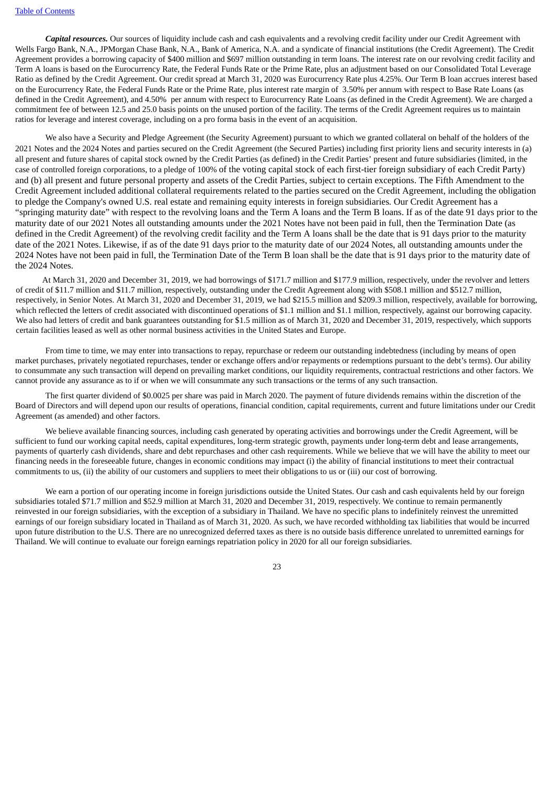*Capital resources.* Our sources of liquidity include cash and cash equivalents and a revolving credit facility under our Credit Agreement with Wells Fargo Bank, N.A., JPMorgan Chase Bank, N.A., Bank of America, N.A. and a syndicate of financial institutions (the Credit Agreement). The Credit Agreement provides a borrowing capacity of \$400 million and \$697 million outstanding in term loans. The interest rate on our revolving credit facility and Term A loans is based on the Eurocurrency Rate, the Federal Funds Rate or the Prime Rate, plus an adjustment based on our Consolidated Total Leverage Ratio as defined by the Credit Agreement. Our credit spread at March 31, 2020 was Eurocurrency Rate plus 4.25%. Our Term B loan accrues interest based on the Eurocurrency Rate, the Federal Funds Rate or the Prime Rate, plus interest rate margin of 3.50% per annum with respect to Base Rate Loans (as defined in the Credit Agreement), and 4.50% per annum with respect to Eurocurrency Rate Loans (as defined in the Credit Agreement). We are charged a commitment fee of between 12.5 and 25.0 basis points on the unused portion of the facility. The terms of the Credit Agreement requires us to maintain ratios for leverage and interest coverage, including on a pro forma basis in the event of an acquisition.

We also have a Security and Pledge Agreement (the Security Agreement) pursuant to which we granted collateral on behalf of the holders of the 2021 Notes and the 2024 Notes and parties secured on the Credit Agreement (the Secured Parties) including first priority liens and security interests in (a) all present and future shares of capital stock owned by the Credit Parties (as defined) in the Credit Parties' present and future subsidiaries (limited, in the case of controlled foreign corporations, to a pledge of 100% of the voting capital stock of each first-tier foreign subsidiary of each Credit Party) and (b) all present and future personal property and assets of the Credit Parties, subject to certain exceptions. The Fifth Amendment to the Credit Agreement included additional collateral requirements related to the parties secured on the Credit Agreement, including the obligation to pledge the Company's owned U.S. real estate and remaining equity interests in foreign subsidiaries*.* Our Credit Agreement has a "springing maturity date" with respect to the revolving loans and the Term A loans and the Term B loans. If as of the date 91 days prior to the maturity date of our 2021 Notes all outstanding amounts under the 2021 Notes have not been paid in full, then the Termination Date (as defined in the Credit Agreement) of the revolving credit facility and the Term A loans shall be the date that is 91 days prior to the maturity date of the 2021 Notes. Likewise, if as of the date 91 days prior to the maturity date of our 2024 Notes, all outstanding amounts under the 2024 Notes have not been paid in full, the Termination Date of the Term B loan shall be the date that is 91 days prior to the maturity date of the 2024 Notes.

At March 31, 2020 and December 31, 2019, we had borrowings of \$171.7 million and \$177.9 million, respectively, under the revolver and letters of credit of \$11.7 million and \$11.7 million, respectively, outstanding under the Credit Agreement along with \$508.1 million and \$512.7 million, respectively, in Senior Notes. At March 31, 2020 and December 31, 2019, we had \$215.5 million and \$209.3 million, respectively, available for borrowing, which reflected the letters of credit associated with discontinued operations of \$1.1 million and \$1.1 million, respectively, against our borrowing capacity. We also had letters of credit and bank guarantees outstanding for \$1.5 million as of March 31, 2020 and December 31, 2019, respectively, which supports certain facilities leased as well as other normal business activities in the United States and Europe.

From time to time, we may enter into transactions to repay, repurchase or redeem our outstanding indebtedness (including by means of open market purchases, privately negotiated repurchases, tender or exchange offers and/or repayments or redemptions pursuant to the debt's terms). Our ability to consummate any such transaction will depend on prevailing market conditions, our liquidity requirements, contractual restrictions and other factors. We cannot provide any assurance as to if or when we will consummate any such transactions or the terms of any such transaction.

The first quarter dividend of \$0.0025 per share was paid in March 2020. The payment of future dividends remains within the discretion of the Board of Directors and will depend upon our results of operations, financial condition, capital requirements, current and future limitations under our Credit Agreement (as amended) and other factors.

We believe available financing sources, including cash generated by operating activities and borrowings under the Credit Agreement, will be sufficient to fund our working capital needs, capital expenditures, long-term strategic growth, payments under long-term debt and lease arrangements, payments of quarterly cash dividends, share and debt repurchases and other cash requirements. While we believe that we will have the ability to meet our financing needs in the foreseeable future, changes in economic conditions may impact (i) the ability of financial institutions to meet their contractual commitments to us, (ii) the ability of our customers and suppliers to meet their obligations to us or (iii) our cost of borrowing.

We earn a portion of our operating income in foreign jurisdictions outside the United States. Our cash and cash equivalents held by our foreign subsidiaries totaled \$71.7 million and \$52.9 million at March 31, 2020 and December 31, 2019, respectively. We continue to remain permanently reinvested in our foreign subsidiaries, with the exception of a subsidiary in Thailand. We have no specific plans to indefinitely reinvest the unremitted earnings of our foreign subsidiary located in Thailand as of March 31, 2020. As such, we have recorded withholding tax liabilities that would be incurred upon future distribution to the U.S. There are no unrecognized deferred taxes as there is no outside basis difference unrelated to unremitted earnings for Thailand. We will continue to evaluate our foreign earnings repatriation policy in 2020 for all our foreign subsidiaries.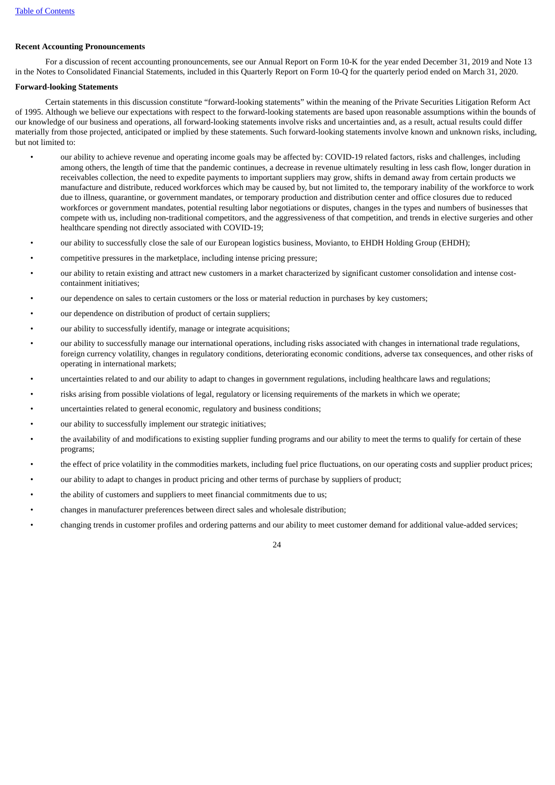#### **Recent Accounting Pronouncements**

For a discussion of recent accounting pronouncements, see our Annual Report on Form 10-K for the year ended December 31, 2019 and Note 13 in the Notes to Consolidated Financial Statements, included in this Quarterly Report on Form 10-Q for the quarterly period ended on March 31, 2020.

### **Forward-looking Statements**

Certain statements in this discussion constitute "forward-looking statements" within the meaning of the Private Securities Litigation Reform Act of 1995. Although we believe our expectations with respect to the forward-looking statements are based upon reasonable assumptions within the bounds of our knowledge of our business and operations, all forward-looking statements involve risks and uncertainties and, as a result, actual results could differ materially from those projected, anticipated or implied by these statements. Such forward-looking statements involve known and unknown risks, including, but not limited to:

- our ability to achieve revenue and operating income goals may be affected by: COVID-19 related factors, risks and challenges, including among others, the length of time that the pandemic continues, a decrease in revenue ultimately resulting in less cash flow, longer duration in receivables collection, the need to expedite payments to important suppliers may grow, shifts in demand away from certain products we manufacture and distribute, reduced workforces which may be caused by, but not limited to, the temporary inability of the workforce to work due to illness, quarantine, or government mandates, or temporary production and distribution center and office closures due to reduced workforces or government mandates, potential resulting labor negotiations or disputes, changes in the types and numbers of businesses that compete with us, including non-traditional competitors, and the aggressiveness of that competition, and trends in elective surgeries and other healthcare spending not directly associated with COVID-19;
- our ability to successfully close the sale of our European logistics business, Movianto, to EHDH Holding Group (EHDH);
- competitive pressures in the marketplace, including intense pricing pressure;
- our ability to retain existing and attract new customers in a market characterized by significant customer consolidation and intense costcontainment initiatives;
- our dependence on sales to certain customers or the loss or material reduction in purchases by key customers;
- our dependence on distribution of product of certain suppliers:
- our ability to successfully identify, manage or integrate acquisitions;
- our ability to successfully manage our international operations, including risks associated with changes in international trade regulations, foreign currency volatility, changes in regulatory conditions, deteriorating economic conditions, adverse tax consequences, and other risks of operating in international markets;
- uncertainties related to and our ability to adapt to changes in government regulations, including healthcare laws and regulations;
- risks arising from possible violations of legal, regulatory or licensing requirements of the markets in which we operate;
- uncertainties related to general economic, regulatory and business conditions;
- our ability to successfully implement our strategic initiatives;
- the availability of and modifications to existing supplier funding programs and our ability to meet the terms to qualify for certain of these programs;
- the effect of price volatility in the commodities markets, including fuel price fluctuations, on our operating costs and supplier product prices;
- our ability to adapt to changes in product pricing and other terms of purchase by suppliers of product;
- the ability of customers and suppliers to meet financial commitments due to us;
- changes in manufacturer preferences between direct sales and wholesale distribution;
- changing trends in customer profiles and ordering patterns and our ability to meet customer demand for additional value-added services;

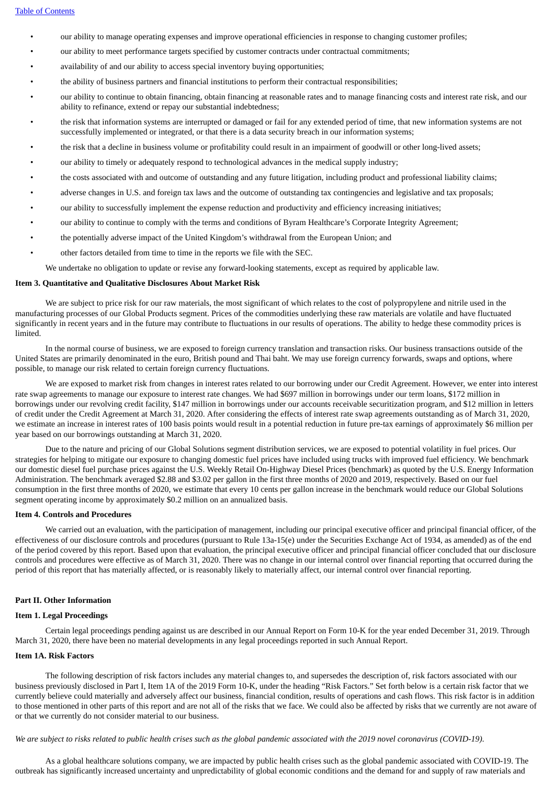- our ability to manage operating expenses and improve operational efficiencies in response to changing customer profiles;
- our ability to meet performance targets specified by customer contracts under contractual commitments;
- availability of and our ability to access special inventory buying opportunities;
- the ability of business partners and financial institutions to perform their contractual responsibilities;
- our ability to continue to obtain financing, obtain financing at reasonable rates and to manage financing costs and interest rate risk, and our ability to refinance, extend or repay our substantial indebtedness;
- the risk that information systems are interrupted or damaged or fail for any extended period of time, that new information systems are not successfully implemented or integrated, or that there is a data security breach in our information systems;
- the risk that a decline in business volume or profitability could result in an impairment of goodwill or other long-lived assets;
- our ability to timely or adequately respond to technological advances in the medical supply industry;
- the costs associated with and outcome of outstanding and any future litigation, including product and professional liability claims;
- adverse changes in U.S. and foreign tax laws and the outcome of outstanding tax contingencies and legislative and tax proposals;
- our ability to successfully implement the expense reduction and productivity and efficiency increasing initiatives;
- our ability to continue to comply with the terms and conditions of Byram Healthcare's Corporate Integrity Agreement;
- the potentially adverse impact of the United Kingdom's withdrawal from the European Union; and
- other factors detailed from time to time in the reports we file with the SEC.

We undertake no obligation to update or revise any forward-looking statements, except as required by applicable law.

#### <span id="page-24-0"></span>**Item 3. Quantitative and Qualitative Disclosures About Market Risk**

We are subject to price risk for our raw materials, the most significant of which relates to the cost of polypropylene and nitrile used in the manufacturing processes of our Global Products segment. Prices of the commodities underlying these raw materials are volatile and have fluctuated significantly in recent years and in the future may contribute to fluctuations in our results of operations. The ability to hedge these commodity prices is limited.

In the normal course of business, we are exposed to foreign currency translation and transaction risks. Our business transactions outside of the United States are primarily denominated in the euro, British pound and Thai baht. We may use foreign currency forwards, swaps and options, where possible, to manage our risk related to certain foreign currency fluctuations.

We are exposed to market risk from changes in interest rates related to our borrowing under our Credit Agreement. However, we enter into interest rate swap agreements to manage our exposure to interest rate changes. We had \$697 million in borrowings under our term loans, \$172 million in borrowings under our revolving credit facility, \$147 million in borrowings under our accounts receivable securitization program, and \$12 million in letters of credit under the Credit Agreement at March 31, 2020. After considering the effects of interest rate swap agreements outstanding as of March 31, 2020, we estimate an increase in interest rates of 100 basis points would result in a potential reduction in future pre-tax earnings of approximately \$6 million per year based on our borrowings outstanding at March 31, 2020.

Due to the nature and pricing of our Global Solutions segment distribution services, we are exposed to potential volatility in fuel prices. Our strategies for helping to mitigate our exposure to changing domestic fuel prices have included using trucks with improved fuel efficiency. We benchmark our domestic diesel fuel purchase prices against the U.S. Weekly Retail On-Highway Diesel Prices (benchmark) as quoted by the U.S. Energy Information Administration. The benchmark averaged \$2.88 and \$3.02 per gallon in the first three months of 2020 and 2019, respectively. Based on our fuel consumption in the first three months of 2020, we estimate that every 10 cents per gallon increase in the benchmark would reduce our Global Solutions segment operating income by approximately \$0.2 million on an annualized basis.

## <span id="page-24-1"></span>**Item 4. Controls and Procedures**

We carried out an evaluation, with the participation of management, including our principal executive officer and principal financial officer, of the effectiveness of our disclosure controls and procedures (pursuant to Rule 13a-15(e) under the Securities Exchange Act of 1934, as amended) as of the end of the period covered by this report. Based upon that evaluation, the principal executive officer and principal financial officer concluded that our disclosure controls and procedures were effective as of March 31, 2020. There was no change in our internal control over financial reporting that occurred during the period of this report that has materially affected, or is reasonably likely to materially affect, our internal control over financial reporting.

#### <span id="page-24-2"></span>**Part II. Other Information**

#### <span id="page-24-3"></span>**Item 1. Legal Proceedings**

Certain legal proceedings pending against us are described in our Annual Report on Form 10-K for the year ended December 31, 2019. Through March 31, 2020, there have been no material developments in any legal proceedings reported in such Annual Report.

#### <span id="page-24-4"></span>**Item 1A. Risk Factors**

The following description of risk factors includes any material changes to, and supersedes the description of, risk factors associated with our business previously disclosed in Part I, Item 1A of the 2019 Form 10-K, under the heading "Risk Factors." Set forth below is a certain risk factor that we currently believe could materially and adversely affect our business, financial condition, results of operations and cash flows. This risk factor is in addition to those mentioned in other parts of this report and are not all of the risks that we face. We could also be affected by risks that we currently are not aware of or that we currently do not consider material to our business.

We are subject to risks related to public health crises such as the global pandemic associated with the 2019 novel coronavirus (COVID-19).

As a global healthcare solutions company, we are impacted by public health crises such as the global pandemic associated with COVID-19. The outbreak has significantly increased uncertainty and unpredictability of global economic conditions and the demand for and supply of raw materials and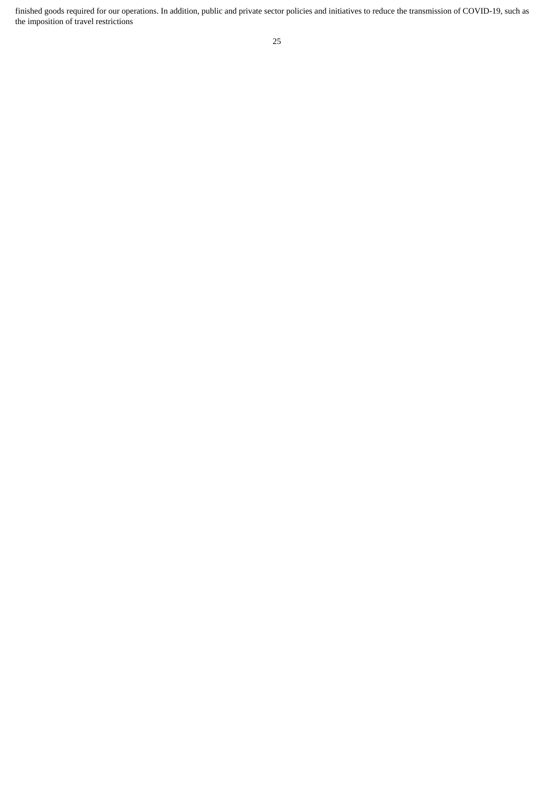finished goods required for our operations. In addition, public and private sector policies and initiatives to reduce the transmission of COVID-19, such as the imposition of travel restrictions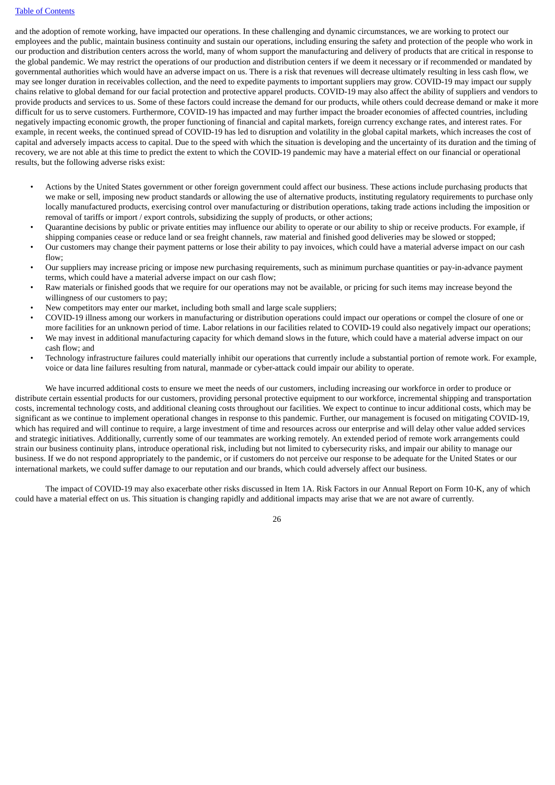## Table of [Contents](#page-1-0)

and the adoption of remote working, have impacted our operations. In these challenging and dynamic circumstances, we are working to protect our employees and the public, maintain business continuity and sustain our operations, including ensuring the safety and protection of the people who work in our production and distribution centers across the world, many of whom support the manufacturing and delivery of products that are critical in response to the global pandemic. We may restrict the operations of our production and distribution centers if we deem it necessary or if recommended or mandated by governmental authorities which would have an adverse impact on us. There is a risk that revenues will decrease ultimately resulting in less cash flow, we may see longer duration in receivables collection, and the need to expedite payments to important suppliers may grow. COVID-19 may impact our supply chains relative to global demand for our facial protection and protective apparel products. COVID-19 may also affect the ability of suppliers and vendors to provide products and services to us. Some of these factors could increase the demand for our products, while others could decrease demand or make it more difficult for us to serve customers. Furthermore, COVID-19 has impacted and may further impact the broader economies of affected countries, including negatively impacting economic growth, the proper functioning of financial and capital markets, foreign currency exchange rates, and interest rates. For example, in recent weeks, the continued spread of COVID-19 has led to disruption and volatility in the global capital markets, which increases the cost of capital and adversely impacts access to capital. Due to the speed with which the situation is developing and the uncertainty of its duration and the timing of recovery, we are not able at this time to predict the extent to which the COVID-19 pandemic may have a material effect on our financial or operational results, but the following adverse risks exist:

- Actions by the United States government or other foreign government could affect our business. These actions include purchasing products that we make or sell, imposing new product standards or allowing the use of alternative products, instituting regulatory requirements to purchase only locally manufactured products, exercising control over manufacturing or distribution operations, taking trade actions including the imposition or removal of tariffs or import / export controls, subsidizing the supply of products, or other actions;
- Quarantine decisions by public or private entities may influence our ability to operate or our ability to ship or receive products. For example, if shipping companies cease or reduce land or sea freight channels, raw material and finished good deliveries may be slowed or stopped;
- Our customers may change their payment patterns or lose their ability to pay invoices, which could have a material adverse impact on our cash flow;
- Our suppliers may increase pricing or impose new purchasing requirements, such as minimum purchase quantities or pay-in-advance payment terms, which could have a material adverse impact on our cash flow;
- Raw materials or finished goods that we require for our operations may not be available, or pricing for such items may increase beyond the willingness of our customers to pay;
- New competitors may enter our market, including both small and large scale suppliers;
- COVID-19 illness among our workers in manufacturing or distribution operations could impact our operations or compel the closure of one or more facilities for an unknown period of time. Labor relations in our facilities related to COVID-19 could also negatively impact our operations;
- We may invest in additional manufacturing capacity for which demand slows in the future, which could have a material adverse impact on our cash flow; and
- Technology infrastructure failures could materially inhibit our operations that currently include a substantial portion of remote work. For example, voice or data line failures resulting from natural, manmade or cyber-attack could impair our ability to operate.

We have incurred additional costs to ensure we meet the needs of our customers, including increasing our workforce in order to produce or distribute certain essential products for our customers, providing personal protective equipment to our workforce, incremental shipping and transportation costs, incremental technology costs, and additional cleaning costs throughout our facilities. We expect to continue to incur additional costs, which may be significant as we continue to implement operational changes in response to this pandemic. Further, our management is focused on mitigating COVID-19, which has required and will continue to require, a large investment of time and resources across our enterprise and will delay other value added services and strategic initiatives. Additionally, currently some of our teammates are working remotely. An extended period of remote work arrangements could strain our business continuity plans, introduce operational risk, including but not limited to cybersecurity risks, and impair our ability to manage our business. If we do not respond appropriately to the pandemic, or if customers do not perceive our response to be adequate for the United States or our international markets, we could suffer damage to our reputation and our brands, which could adversely affect our business.

The impact of COVID-19 may also exacerbate other risks discussed in Item 1A. Risk Factors in our Annual Report on Form 10-K, any of which could have a material effect on us. This situation is changing rapidly and additional impacts may arise that we are not aware of currently.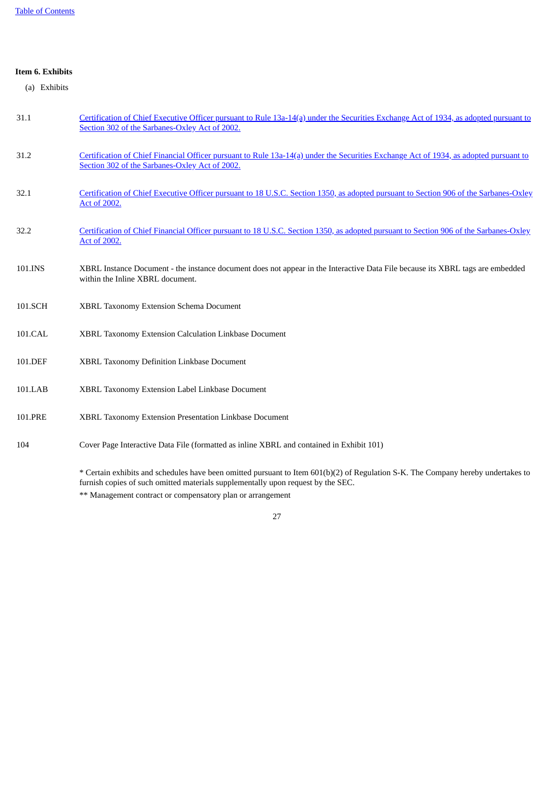## <span id="page-27-0"></span>**Item 6. Exhibits**

(a) Exhibits

| 31.1    | Certification of Chief Executive Officer pursuant to Rule 13a-14(a) under the Securities Exchange Act of 1934, as adopted pursuant to<br>Section 302 of the Sarbanes-Oxley Act of 2002. |
|---------|-----------------------------------------------------------------------------------------------------------------------------------------------------------------------------------------|
| 31.2    | Certification of Chief Financial Officer pursuant to Rule 13a-14(a) under the Securities Exchange Act of 1934, as adopted pursuant to<br>Section 302 of the Sarbanes-Oxley Act of 2002. |
| 32.1    | Certification of Chief Executive Officer pursuant to 18 U.S.C. Section 1350, as adopted pursuant to Section 906 of the Sarbanes-Oxley<br>Act of 2002.                                   |
| 32.2    | Certification of Chief Financial Officer pursuant to 18 U.S.C. Section 1350, as adopted pursuant to Section 906 of the Sarbanes-Oxley<br>Act of 2002.                                   |
| 101.INS | XBRL Instance Document - the instance document does not appear in the Interactive Data File because its XBRL tags are embedded<br>within the Inline XBRL document.                      |
| 101.SCH | XBRL Taxonomy Extension Schema Document                                                                                                                                                 |
| 101.CAL | XBRL Taxonomy Extension Calculation Linkbase Document                                                                                                                                   |
| 101.DEF | XBRL Taxonomy Definition Linkbase Document                                                                                                                                              |
| 101.LAB | XBRL Taxonomy Extension Label Linkbase Document                                                                                                                                         |
| 101.PRE | XBRL Taxonomy Extension Presentation Linkbase Document                                                                                                                                  |

104 Cover Page Interactive Data File (formatted as inline XBRL and contained in Exhibit 101)

\* Certain exhibits and schedules have been omitted pursuant to Item 601(b)(2) of Regulation S-K. The Company hereby undertakes to furnish copies of such omitted materials supplementally upon request by the SEC. \*\* Management contract or compensatory plan or arrangement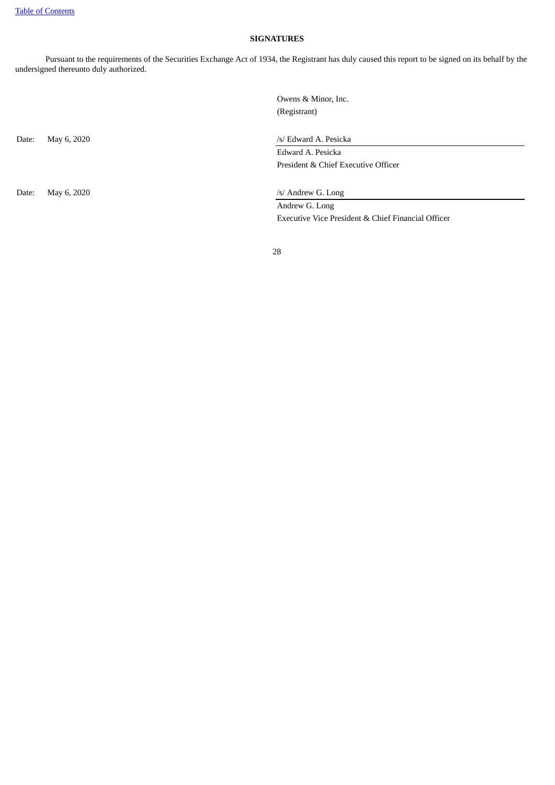### **SIGNATURES**

Pursuant to the requirements of the Securities Exchange Act of 1934, the Registrant has duly caused this report to be signed on its behalf by the undersigned thereunto duly authorized.

Date: May 6, 2020 /s/ Andrew G. Long

Owens & Minor, Inc. (Registrant)

Date: May 6, 2020 /s/ Edward A. Pesicka

Edward A. Pesicka President & Chief Executive Officer

Andrew G. Long Executive Vice President & Chief Financial Officer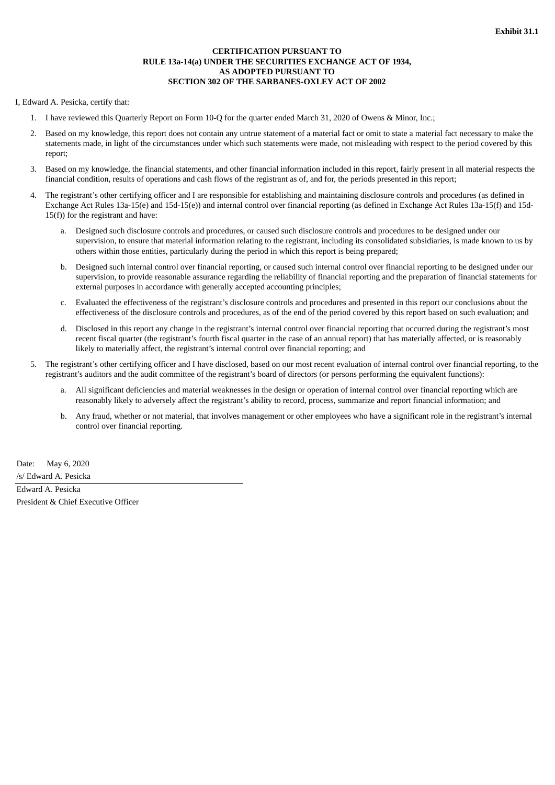## **CERTIFICATION PURSUANT TO RULE 13a-14(a) UNDER THE SECURITIES EXCHANGE ACT OF 1934, AS ADOPTED PURSUANT TO SECTION 302 OF THE SARBANES-OXLEY ACT OF 2002**

### <span id="page-29-0"></span>I, Edward A. Pesicka, certify that:

- 1. I have reviewed this Quarterly Report on Form 10-Q for the quarter ended March 31, 2020 of Owens & Minor, Inc.;
- 2. Based on my knowledge, this report does not contain any untrue statement of a material fact or omit to state a material fact necessary to make the statements made, in light of the circumstances under which such statements were made, not misleading with respect to the period covered by this report;
- 3. Based on my knowledge, the financial statements, and other financial information included in this report, fairly present in all material respects the financial condition, results of operations and cash flows of the registrant as of, and for, the periods presented in this report;
- 4. The registrant's other certifying officer and I are responsible for establishing and maintaining disclosure controls and procedures (as defined in Exchange Act Rules 13a-15(e) and 15d-15(e)) and internal control over financial reporting (as defined in Exchange Act Rules 13a-15(f) and 15d-15(f)) for the registrant and have:
	- a. Designed such disclosure controls and procedures, or caused such disclosure controls and procedures to be designed under our supervision, to ensure that material information relating to the registrant, including its consolidated subsidiaries, is made known to us by others within those entities, particularly during the period in which this report is being prepared;
	- b. Designed such internal control over financial reporting, or caused such internal control over financial reporting to be designed under our supervision, to provide reasonable assurance regarding the reliability of financial reporting and the preparation of financial statements for external purposes in accordance with generally accepted accounting principles;
	- c. Evaluated the effectiveness of the registrant's disclosure controls and procedures and presented in this report our conclusions about the effectiveness of the disclosure controls and procedures, as of the end of the period covered by this report based on such evaluation; and
	- d. Disclosed in this report any change in the registrant's internal control over financial reporting that occurred during the registrant's most recent fiscal quarter (the registrant's fourth fiscal quarter in the case of an annual report) that has materially affected, or is reasonably likely to materially affect, the registrant's internal control over financial reporting; and
- 5. The registrant's other certifying officer and I have disclosed, based on our most recent evaluation of internal control over financial reporting, to the registrant's auditors and the audit committee of the registrant's board of directors (or persons performing the equivalent functions):
	- a. All significant deficiencies and material weaknesses in the design or operation of internal control over financial reporting which are reasonably likely to adversely affect the registrant's ability to record, process, summarize and report financial information; and
	- b. Any fraud, whether or not material, that involves management or other employees who have a significant role in the registrant's internal control over financial reporting.

Date: May 6, 2020

/s/ Edward A. Pesicka

Edward A. Pesicka President & Chief Executive Officer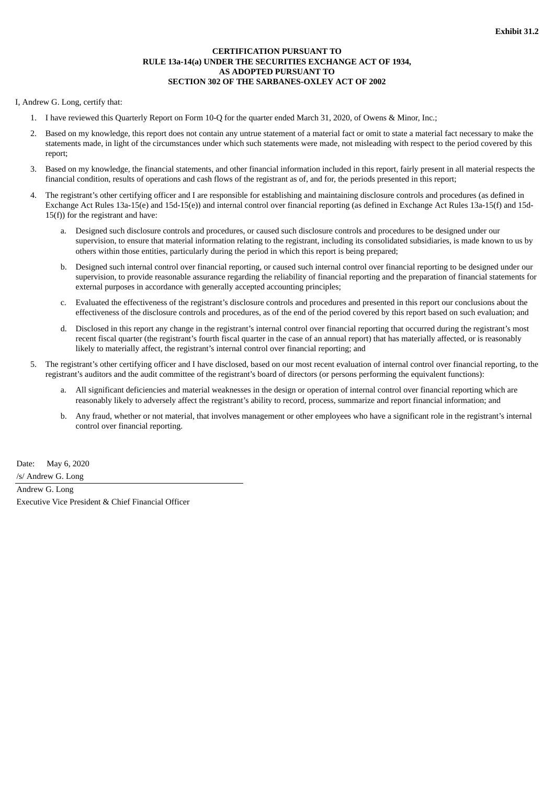## **CERTIFICATION PURSUANT TO RULE 13a-14(a) UNDER THE SECURITIES EXCHANGE ACT OF 1934, AS ADOPTED PURSUANT TO SECTION 302 OF THE SARBANES-OXLEY ACT OF 2002**

### <span id="page-30-0"></span>I, Andrew G. Long, certify that:

- 1. I have reviewed this Quarterly Report on Form 10-Q for the quarter ended March 31, 2020, of Owens & Minor, Inc.;
- 2. Based on my knowledge, this report does not contain any untrue statement of a material fact or omit to state a material fact necessary to make the statements made, in light of the circumstances under which such statements were made, not misleading with respect to the period covered by this report;
- 3. Based on my knowledge, the financial statements, and other financial information included in this report, fairly present in all material respects the financial condition, results of operations and cash flows of the registrant as of, and for, the periods presented in this report;
- 4. The registrant's other certifying officer and I are responsible for establishing and maintaining disclosure controls and procedures (as defined in Exchange Act Rules 13a-15(e) and 15d-15(e)) and internal control over financial reporting (as defined in Exchange Act Rules 13a-15(f) and 15d-15(f)) for the registrant and have:
	- a. Designed such disclosure controls and procedures, or caused such disclosure controls and procedures to be designed under our supervision, to ensure that material information relating to the registrant, including its consolidated subsidiaries, is made known to us by others within those entities, particularly during the period in which this report is being prepared;
	- b. Designed such internal control over financial reporting, or caused such internal control over financial reporting to be designed under our supervision, to provide reasonable assurance regarding the reliability of financial reporting and the preparation of financial statements for external purposes in accordance with generally accepted accounting principles;
	- c. Evaluated the effectiveness of the registrant's disclosure controls and procedures and presented in this report our conclusions about the effectiveness of the disclosure controls and procedures, as of the end of the period covered by this report based on such evaluation; and
	- d. Disclosed in this report any change in the registrant's internal control over financial reporting that occurred during the registrant's most recent fiscal quarter (the registrant's fourth fiscal quarter in the case of an annual report) that has materially affected, or is reasonably likely to materially affect, the registrant's internal control over financial reporting; and
- 5. The registrant's other certifying officer and I have disclosed, based on our most recent evaluation of internal control over financial reporting, to the registrant's auditors and the audit committee of the registrant's board of directors (or persons performing the equivalent functions):
	- a. All significant deficiencies and material weaknesses in the design or operation of internal control over financial reporting which are reasonably likely to adversely affect the registrant's ability to record, process, summarize and report financial information; and
	- b. Any fraud, whether or not material, that involves management or other employees who have a significant role in the registrant's internal control over financial reporting.

Date: May 6, 2020

/s/ Andrew G. Long

Andrew G. Long Executive Vice President & Chief Financial Officer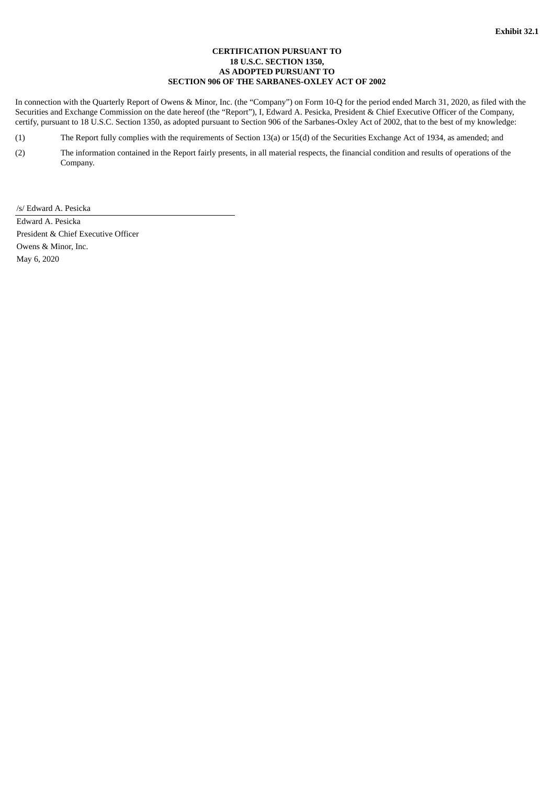## **CERTIFICATION PURSUANT TO 18 U.S.C. SECTION 1350, AS ADOPTED PURSUANT TO SECTION 906 OF THE SARBANES-OXLEY ACT OF 2002**

<span id="page-31-0"></span>In connection with the Quarterly Report of Owens & Minor, Inc. (the "Company") on Form 10-Q for the period ended March 31, 2020, as filed with the Securities and Exchange Commission on the date hereof (the "Report"), I, Edward A. Pesicka, President & Chief Executive Officer of the Company, certify, pursuant to 18 U.S.C. Section 1350, as adopted pursuant to Section 906 of the Sarbanes-Oxley Act of 2002, that to the best of my knowledge:

(1) The Report fully complies with the requirements of Section 13(a) or 15(d) of the Securities Exchange Act of 1934, as amended; and

(2) The information contained in the Report fairly presents, in all material respects, the financial condition and results of operations of the Company.

/s/ Edward A. Pesicka

Edward A. Pesicka President & Chief Executive Officer Owens & Minor, Inc. May 6, 2020